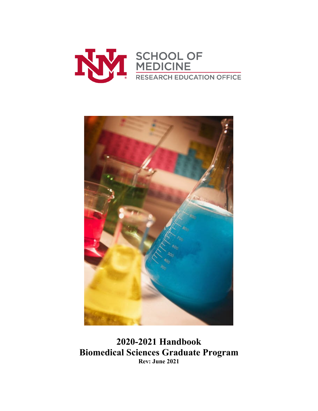



**2020-2021 Handbook Biomedical Sciences Graduate Program Rev: June 2021**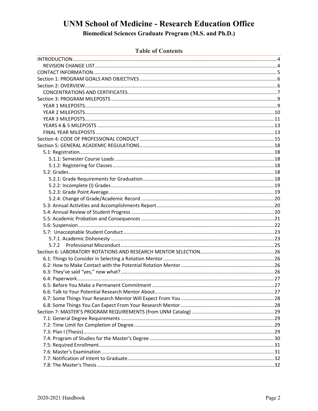## **UNM School of Medicine - Research Education Office**

Biomedical Sciences Graduate Program (M.S. and Ph.D.)

#### **Table of Contents**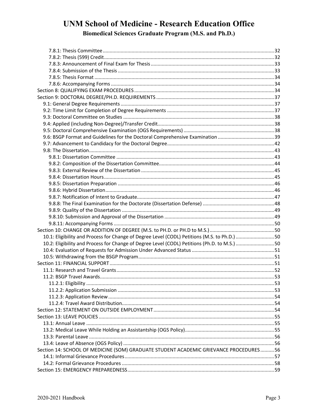| 10.1: Eligibility and Process for Change of Degree Level (CODL) Petitions (M.S. to Ph.D.) 50 |  |
|----------------------------------------------------------------------------------------------|--|
| 10.2: Eligibility and Process for Change of Degree Level (CODL) Petitions (Ph.D. to M.S.) 50 |  |
|                                                                                              |  |
|                                                                                              |  |
|                                                                                              |  |
|                                                                                              |  |
|                                                                                              |  |
|                                                                                              |  |
|                                                                                              |  |
|                                                                                              |  |
|                                                                                              |  |
|                                                                                              |  |
|                                                                                              |  |
|                                                                                              |  |
|                                                                                              |  |
|                                                                                              |  |
|                                                                                              |  |
| Section 14: SCHOOL OF MEDICINE (SOM) GRADUATE STUDENT ACADEMIC GRIEVANCE PROCEDURES56        |  |
|                                                                                              |  |
|                                                                                              |  |
|                                                                                              |  |
|                                                                                              |  |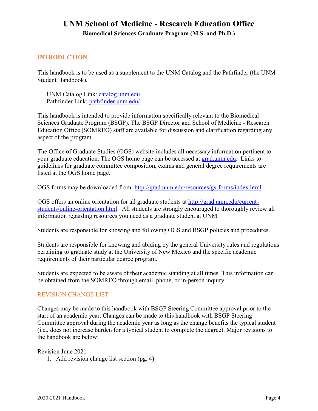### <span id="page-3-0"></span>**INTRODUCTION**

This handbook is to be used as a supplement to the UNM Catalog and the Pathfinder (the UNM Student Handbook).

UNM Catalog Link: [catalog.unm.edu](http://catalog.unm.edu/) Pathfinder Link: [pathfinder.unm.edu/](http://pathfinder.unm.edu/)

This handbook is intended to provide information specifically relevant to the Biomedical Sciences Graduate Program (BSGP). The BSGP Director and School of Medicine - Research Education Office (SOMREO) staff are available for discussion and clarification regarding any aspect of the program.

The Office of Graduate Studies (OGS) website includes all necessary information pertinent to your graduate education. The OGS home page can be accessed at [grad.unm.edu.](http://grad.unm.edu/) Links to guidelines for graduate committee composition, exams and general degree requirements are listed at the OGS home page.

OGS forms may be downloaded from:<http://grad.unm.edu/resources/gs-forms/index.html>

OGS offers an online orientation for all graduate students at [http://grad.unm.edu/current](http://grad.unm.edu/current-students/online-orientation.html)[students/online-orientation.html.](http://grad.unm.edu/current-students/online-orientation.html) All students are strongly encouraged to thoroughly review all information regarding resources you need as a graduate student at UNM.

Students are responsible for knowing and following OGS and BSGP policies and procedures.

Students are responsible for knowing and abiding by the general University rules and regulations pertaining to graduate study at the University of New Mexico and the specific academic requirements of their particular degree program.

Students are expected to be aware of their academic standing at all times. This information can be obtained from the SOMREO through email, phone, or in-person inquiry.

### <span id="page-3-1"></span>REVISION CHANGE LIST

Changes may be made to this handbook with BSGP Steering Committee approval prior to the start of an academic year. Changes can be made to this handbook with BSGP Steering Committee approval during the academic year as long as the change benefits the typical student (i.e., does not increase burden for a typical student to complete the degree). Major revisions to the handbook are below:

Revision June 2021

1. Add revision change list section (pg. 4)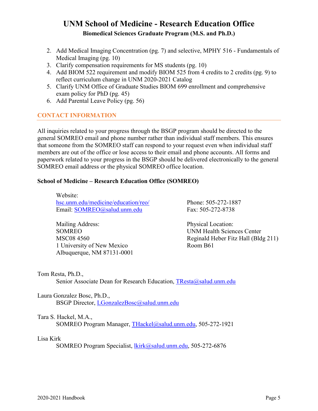- 2. Add Medical Imaging Concentration (pg. 7) and selective, MPHY 516 Fundamentals of Medical Imaging (pg. 10)
- 3. Clarify compensation requirements for MS students (pg. 10)
- 4. Add BIOM 522 requirement and modify BIOM 525 from 4 credits to 2 credits (pg. 9) to reflect curriculum change in UNM 2020-2021 Catalog
- 5. Clarify UNM Office of Graduate Studies BIOM 699 enrollment and comprehensive exam policy for PhD (pg. 45)
- 6. Add Parental Leave Policy (pg. 56)

### <span id="page-4-0"></span>**CONTACT INFORMATION**

All inquiries related to your progress through the BSGP program should be directed to the general SOMREO email and phone number rather than individual staff members. This ensures that someone from the SOMREO staff can respond to your request even when individual staff members are out of the office or lose access to their email and phone accounts. All forms and paperwork related to your progress in the BSGP should be delivered electronically to the general SOMREO email address or the physical SOMREO office location.

### **School of Medicine – Research Education Office (SOMREO)**

Website: [hsc.unm.edu/medicine/education/reo/](https://hsc.unm.edu/medicine/education/reo/) Email: [SOMREO@salud.unm.edu](mailto:SOMREO@salud.unm.edu) 

Mailing Address: **SOMREO** MSC08 4560 1 University of New Mexico Albuquerque, NM 87131-0001 Phone: 505-272-1887 Fax: 505-272-8738

Physical Location: UNM Health Sciences Center Reginald Heber Fitz Hall (Bldg 211) Room B61

Tom Resta, Ph.D.,

Senior Associate Dean for Research Education, [TResta@salud.unm.edu](mailto:TResta@salud.unm.edu)

Laura Gonzalez Bosc, Ph.D.,

BSGP Director, [LGonzalezBosc@salud.unm.edu](mailto:LGonzalezBosc@salud.unm.edu)

### Tara S. Hackel, M.A.,

SOMREO Program Manager, [THackel@salud.unm.edu,](mailto:THackel@salud.unm.edu) 505-272-1921

#### Lisa Kirk

SOMREO Program Specialist, [lkirk@salud.unm.edu,](mailto:lkirk@salud.unm.edu) 505-272-6876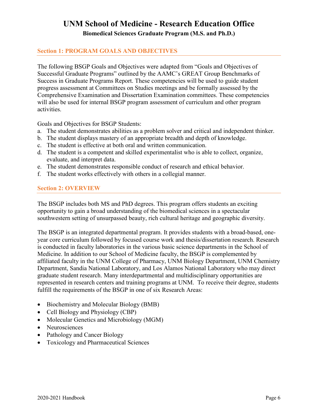#### <span id="page-5-0"></span>**Section 1: PROGRAM GOALS AND OBJECTIVES**

The following BSGP Goals and Objectives were adapted from "Goals and Objectives of Successful Graduate Programs" outlined by the AAMC's GREAT Group Benchmarks of Success in Graduate Programs Report. These competencies will be used to guide student progress assessment at Committees on Studies meetings and be formally assessed by the Comprehensive Examination and Dissertation Examination committees. These competencies will also be used for internal BSGP program assessment of curriculum and other program activities.

Goals and Objectives for BSGP Students:

- a. The student demonstrates abilities as a problem solver and critical and independent thinker.
- b. The student displays mastery of an appropriate breadth and depth of knowledge.
- c. The student is effective at both oral and written communication.
- d. The student is a competent and skilled experimentalist who is able to collect, organize, evaluate, and interpret data.
- e. The student demonstrates responsible conduct of research and ethical behavior.
- f. The student works effectively with others in a collegial manner.

#### <span id="page-5-1"></span>**Section 2: OVERVIEW**

The BSGP includes both MS and PhD degrees. This program offers students an exciting opportunity to gain a broad understanding of the biomedical sciences in a spectacular southwestern setting of unsurpassed beauty, rich cultural heritage and geographic diversity.

The BSGP is an integrated departmental program. It provides students with a broad-based, oneyear core curriculum followed by focused course work and thesis/dissertation research. Research is conducted in faculty laboratories in the various basic science departments in the School of Medicine. In addition to our School of Medicine faculty, the BSGP is complemented by affiliated faculty in the UNM College of Pharmacy, UNM Biology Department, UNM Chemistry Department, Sandia National Laboratory, and Los Alamos National Laboratory who may direct graduate student research. Many interdepartmental and multidisciplinary opportunities are represented in research centers and training programs at UNM. To receive their degree, students fulfill the requirements of the BSGP in one of six Research Areas:

- Biochemistry and Molecular Biology (BMB)
- Cell Biology and Physiology (CBP)
- Molecular Genetics and Microbiology (MGM)
- Neurosciences
- Pathology and Cancer Biology
- Toxicology and Pharmaceutical Sciences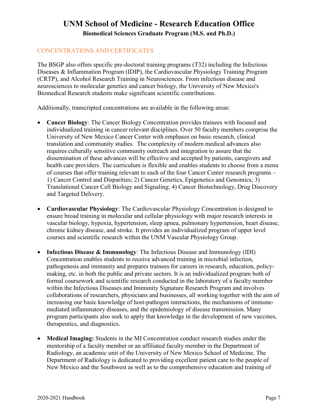### <span id="page-6-0"></span>CONCENTRATIONS AND CERTIFICATES

The BSGP also offers specific pre-doctoral training programs (T32) including the Infectious Diseases & Inflammation Program (IDIP), the Cardiovascular Physiology Training Program (CRTP), and Alcohol Research Training in Neurosciences. From infectious disease and neurosciences to molecular genetics and cancer biology, the University of New Mexico's Biomedical Research students make significant scientific contributions.

Additionally, transcripted concentrations are available in the following areas:

- **Cancer Biology**: The Cancer Biology Concentration provides trainees with focused and individualized training in cancer relevant disciplines. Over 50 faculty members comprise the University of New Mexico Cancer Center with emphases on basic research, clinical translation and community studies. The complexity of modern medical advances also requires culturally sensitive community outreach and integration to assure that the dissemination of these advances will be effective and accepted by patients, caregivers and health care providers. The curriculum is flexible and enables students to choose from a menu of courses that offer training relevant to each of the four Cancer Center research programs – 1) Cancer Control and Disparities; 2) Cancer Genetics, Epigenetics and Genomics; 3) Translational Cancer Cell Biology and Signaling; 4) Cancer Biotechnology, Drug Discovery and Targeted Delivery.
- **Cardiovascular Physiology**: The Cardiovascular Physiology Concentration is designed to ensure broad training in molecular and cellular physiology with major research interests in vascular biology, hypoxia, hypertension, sleep apnea, pulmonary hypertension, heart disease, chronic kidney disease, and stroke. It provides an individualized program of upper level courses and scientific research within the UNM Vascular Physiology Group.
- **Infectious Disease & Immunology**: The Infectious Disease and Immunology (IDI) Concentration enables students to receive advanced training in microbial infection, pathogenesis and immunity and prepares trainees for careers in research, education, policymaking, etc. in both the public and private sectors. It is an individualized program both of formal coursework and scientific research conducted in the laboratory of a faculty member within the Infectious Diseases and Immunity Signature Research Program and involves collaborations of researchers, physicians and businesses, all working together with the aim of increasing our basic knowledge of host-pathogen interactions, the mechanisms of immunemediated inflammatory diseases, and the epidemiology of disease transmission. Many program participants also seek to apply that knowledge in the development of new vaccines, therapeutics, and diagnostics.
- **Medical Imaging:** Students in the MI Concentration conduct research studies under the mentorship of a faculty member or an affiliated faculty member in the Department of Radiology, an academic unit of the University of New Mexico School of Medicine. The Department of Radiology is dedicated to providing excellent patient care to the people of New Mexico and the Southwest as well as to the comprehensive education and training of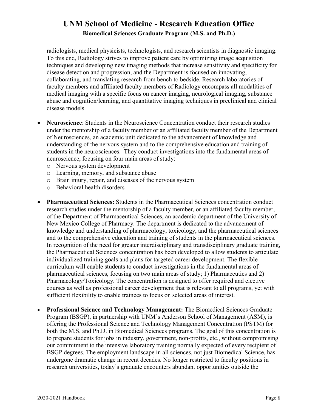radiologists, medical physicists, technologists, and research scientists in diagnostic imaging. To this end, Radiology strives to improve patient care by optimizing image acquisition techniques and developing new imaging methods that increase sensitivity and specificity for disease detection and progression, and the Department is focused on innovating, collaborating, and translating research from bench to bedside. Research laboratories of faculty members and affiliated faculty members of Radiology encompass all modalities of medical imaging with a specific focus on cancer imaging, neurological imaging, substance abuse and cognition/learning, and quantitative imaging techniques in preclinical and clinical disease models.

- **Neuroscience**: Students in the Neuroscience Concentration conduct their research studies under the mentorship of a faculty member or an affiliated faculty member of the Department of Neurosciences, an academic unit dedicated to the advancement of knowledge and understanding of the nervous system and to the comprehensive education and training of students in the neurosciences. They conduct investigations into the fundamental areas of neuroscience, focusing on four main areas of study:
	- o Nervous system development
	- o Learning, memory, and substance abuse
	- o Brain injury, repair, and diseases of the nervous system
	- o Behavioral health disorders
- **Pharmaceutical Sciences:** Students in the Pharmaceutical Sciences concentration conduct research studies under the mentorship of a faculty member, or an affiliated faculty member, of the Department of Pharmaceutical Sciences, an academic department of the University of New Mexico College of Pharmacy. The department is dedicated to the advancement of knowledge and understanding of pharmacology, toxicology, and the pharmaceutical sciences and to the comprehensive education and training of students in the pharmaceutical sciences. In recognition of the need for greater interdisciplinary and transdisciplinary graduate training, the Pharmaceutical Sciences concentration has been developed to allow students to articulate individualized training goals and plans for targeted career development. The flexible curriculum will enable students to conduct investigations in the fundamental areas of pharmaceutical sciences, focusing on two main areas of study; 1) Pharmaceutics and 2) Pharmacology/Toxicology. The concentration is designed to offer required and elective courses as well as professional career development that is relevant to all programs, yet with sufficient flexibility to enable trainees to focus on selected areas of interest.
- **Professional Science and Technology Management:** The Biomedical Sciences Graduate Program (BSGP), in partnership with UNM's Anderson School of Management (ASM), is offering the Professional Science and Technology Management Concentration (PSTM) for both the M.S. and Ph.D. in Biomedical Sciences programs. The goal of this concentration is to prepare students for jobs in industry, government, non-profits, etc., without compromising our commitment to the intensive laboratory training normally expected of every recipient of BSGP degrees. The employment landscape in all sciences, not just Biomedical Science, has undergone dramatic change in recent decades. No longer restricted to faculty positions in research universities, today's graduate encounters abundant opportunities outside the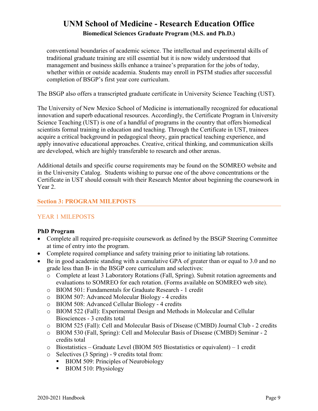conventional boundaries of academic science. The intellectual and experimental skills of traditional graduate training are still essential but it is now widely understood that management and business skills enhance a trainee's preparation for the jobs of today, whether within or outside academia. Students may enroll in PSTM studies after successful completion of BSGP's first year core curriculum.

The BSGP also offers a transcripted graduate certificate in University Science Teaching (UST).

The University of New Mexico School of Medicine is internationally recognized for educational innovation and superb educational resources. Accordingly, the Certificate Program in University Science Teaching (UST) is one of a handful of programs in the country that offers biomedical scientists formal training in education and teaching. Through the Certificate in UST, trainees acquire a critical background in pedagogical theory, gain practical teaching experience, and apply innovative educational approaches. Creative, critical thinking, and communication skills are developed, which are highly transferable to research and other arenas.

Additional details and specific course requirements may be found on the SOMREO website and in the University Catalog. Students wishing to pursue one of the above concentrations or the Certificate in UST should consult with their Research Mentor about beginning the coursework in Year 2.

### <span id="page-8-0"></span>**Section 3: PROGRAM MILEPOSTS**

### <span id="page-8-1"></span>YEAR 1 MILEPOSTS

#### **PhD Program**

- Complete all required pre-requisite coursework as defined by the BSGP Steering Committee at time of entry into the program.
- Complete required compliance and safety training prior to initiating lab rotations.
- Be in good academic standing with a cumulative GPA of greater than or equal to 3.0 and no grade less than B- in the BSGP core curriculum and selectives:
	- o Complete at least 3 Laboratory Rotations (Fall, Spring). Submit rotation agreements and evaluations to SOMREO for each rotation. (Forms available on SOMREO web site).
	- o BIOM 501: Fundamentals for Graduate Research 1 credit
	- o BIOM 507: Advanced Molecular Biology 4 credits
	- o BIOM 508: Advanced Cellular Biology 4 credits
	- o BIOM 522 (Fall): Experimental Design and Methods in Molecular and Cellular Biosciences - 3 credits total
	- o BIOM 525 (Fall): Cell and Molecular Basis of Disease (CMBD) Journal Club 2 credits
	- o BIOM 530 (Fall, Spring): Cell and Molecular Basis of Disease (CMBD) Seminar 2 credits total
	- o Biostatistics Graduate Level (BIOM 505 Biostatistics or equivalent) 1 credit
	- o Selectives (3 Spring) 9 credits total from:
		- BIOM 509: Principles of Neurobiology
		- BIOM 510: Physiology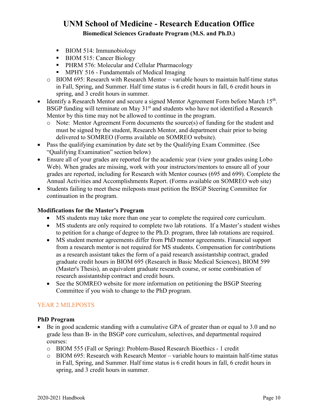- BIOM 514: Immunobiology
- BIOM 515: Cancer Biology
- **PHRM 576: Molecular and Cellular Pharmacology**
- **MPHY 516 Fundamentals of Medical Imaging**
- o BIOM 695: Research with Research Mentor variable hours to maintain half-time status in Fall, Spring, and Summer. Half time status is 6 credit hours in fall, 6 credit hours in spring, and 3 credit hours in summer.
- Identify a Research Mentor and secure a signed Mentor Agreement Form before March  $15<sup>th</sup>$ . BSGP funding will terminate on May  $31<sup>st</sup>$  and students who have not identified a Research Mentor by this time may not be allowed to continue in the program.
	- o Note: Mentor Agreement Form documents the source(s) of funding for the student and must be signed by the student, Research Mentor, and department chair prior to being delivered to SOMREO (Forms available on SOMREO website).
- Pass the qualifying examination by date set by the Qualifying Exam Committee. (See "Qualifying Examination" section below)
- Ensure all of your grades are reported for the academic year (view your grades using Lobo Web). When grades are missing, work with your instructors/mentors to ensure all of your grades are reported, including for Research with Mentor courses (695 and 699). Complete the Annual Activities and Accomplishments Report. (Forms available on SOMREO web site)
- Students failing to meet these mileposts must petition the BSGP Steering Committee for continuation in the program.

### **Modifications for the Master's Program**

- MS students may take more than one year to complete the required core curriculum.
- MS students are only required to complete two lab rotations. If a Master's student wishes to petition for a change of degree to the Ph.D. program, three lab rotations are required.
- MS student mentor agreements differ from PhD mentor agreements. Financial support from a research mentor is not required for MS students. Compensation for contributions as a research assistant takes the form of a paid research assistantship contract, graded graduate credit hours in BIOM 695 (Research in Basic Medical Sciences), BIOM 599 (Master's Thesis), an equivalent graduate research course, or some combination of research assistantship contract and credit hours.
- See the SOMREO website for more information on petitioning the BSGP Steering Committee if you wish to change to the PhD program.

### <span id="page-9-0"></span>YEAR 2 MILEPOSTS

### **PhD Program**

- Be in good academic standing with a cumulative GPA of greater than or equal to 3.0 and no grade less than B- in the BSGP core curriculum, selectives, and departmental required courses:
	- o BIOM 555 (Fall or Spring): Problem-Based Research Bioethics 1 credit
	- o BIOM 695: Research with Research Mentor variable hours to maintain half-time status in Fall, Spring, and Summer. Half time status is 6 credit hours in fall, 6 credit hours in spring, and 3 credit hours in summer.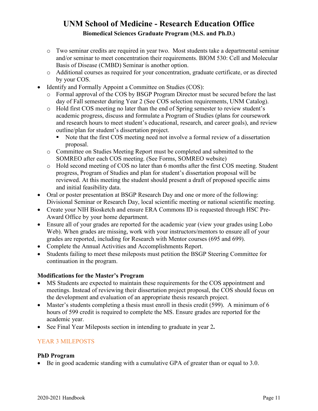- o Two seminar credits are required in year two. Most students take a departmental seminar and/or seminar to meet concentration their requirements. BIOM 530: Cell and Molecular Basis of Disease (CMBD) Seminar is another option.
- o Additional courses as required for your concentration, graduate certificate, or as directed by your COS.
- Identify and Formally Appoint a Committee on Studies (COS):
	- o Formal approval of the COS by BSGP Program Director must be secured before the last day of Fall semester during Year 2 (See COS selection requirements, UNM Catalog).
	- o Hold first COS meeting no later than the end of Spring semester to review student's academic progress, discuss and formulate a Program of Studies (plans for coursework and research hours to meet student's educational, research, and career goals), and review outline/plan for student's dissertation project.
		- Note that the first COS meeting need not involve a formal review of a dissertation proposal.
	- o Committee on Studies Meeting Report must be completed and submitted to the SOMREO after each COS meeting. (See Forms, SOMREO website)
	- o Hold second meeting of COS no later than 6 months after the first COS meeting. Student progress, Program of Studies and plan for student's dissertation proposal will be reviewed. At this meeting the student should present a draft of proposed specific aims and initial feasibility data.
- Oral or poster presentation at BSGP Research Day and one or more of the following: Divisional Seminar or Research Day, local scientific meeting or national scientific meeting.
- Create your NIH Biosketch and ensure ERA Commons ID is requested through HSC Pre-Award Office by your home department.
- Ensure all of your grades are reported for the academic year (view your grades using Lobo Web). When grades are missing, work with your instructors/mentors to ensure all of your grades are reported, including for Research with Mentor courses (695 and 699).
- Complete the Annual Activities and Accomplishments Report.
- Students failing to meet these mileposts must petition the BSGP Steering Committee for continuation in the program.

### **Modifications for the Master's Program**

- MS Students are expected to maintain these requirements for the COS appointment and meetings. Instead of reviewing their dissertation project proposal, the COS should focus on the development and evaluation of an appropriate thesis research project.
- Master's students completing a thesis must enroll in thesis credit (599). A minimum of 6 hours of 599 credit is required to complete the MS. Ensure grades are reported for the academic year.
- See Final Year Mileposts section in intending to graduate in year 2**.**

### <span id="page-10-0"></span>YEAR 3 MILEPOSTS

### **PhD Program**

• Be in good academic standing with a cumulative GPA of greater than or equal to 3.0.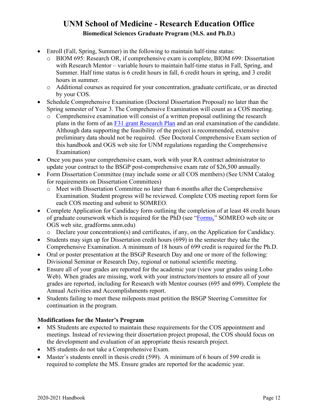- Enroll (Fall, Spring, Summer) in the following to maintain half-time status:
	- o BIOM 695: Research OR, if comprehensive exam is complete, BIOM 699: Dissertation with Research Mentor – variable hours to maintain half-time status in Fall, Spring, and Summer. Half time status is 6 credit hours in fall, 6 credit hours in spring, and 3 credit hours in summer.
	- o Additional courses as required for your concentration, graduate certificate, or as directed by your COS.
- Schedule Comprehensive Examination (Doctoral Dissertation Proposal) no later than the Spring semester of Year 3. The Comprehensive Examination will count as a COS meeting.
	- o Comprehensive examination will consist of a written proposal outlining the research plans in the form of an [F31 grant Research Plan](https://grants.nih.gov/grants/guide/pa-files/PA-19-196.html) and an oral examination of the candidate. Although data supporting the feasibility of the project is recommended, extensive preliminary data should not be required. (See Doctoral Comprehensive Exam section of this handbook and OGS web site for UNM regulations regarding the Comprehensive Examination)
- Once you pass your comprehensive exam, work with your RA contract administrator to update your contract to the BSGP post-comprehensive exam rate of \$26,500 annually.
- Form Dissertation Committee (may include some or all COS members) (See UNM Catalog for requirements on Dissertation Committees)
	- o Meet with Dissertation Committee no later than 6 months after the Comprehensive Examination. Student progress will be reviewed. Complete COS meeting report form for each COS meeting and submit to SOMREO.
- Complete Application for Candidacy form outlining the completion of at least 48 credit hours of graduate coursework which is required for the PhD (see ["Forms,"](https://hsc.unm.edu/research/brep/graduate/bsgp/resources.html) SOMREO web site or OGS web site, gradforms.unm.edu)
	- o Declare your concentration(s) and certificates, if any, on the Application for Candidacy.
- Students may sign up for Dissertation credit hours (699) in the semester they take the Comprehensive Examination. A minimum of 18 hours of 699 credit is required for the Ph.D.
- Oral or poster presentation at the BSGP Research Day and one or more of the following: Divisional Seminar or Research Day, regional or national scientific meeting.
- Ensure all of your grades are reported for the academic year (view your grades using Lobo Web). When grades are missing, work with your instructors/mentors to ensure all of your grades are reported, including for Research with Mentor courses (695 and 699). Complete the Annual Activities and Accomplishments report.
- Students failing to meet these mileposts must petition the BSGP Steering Committee for continuation in the program.

### **Modifications for the Master's Program**

- MS Students are expected to maintain these requirements for the COS appointment and meetings. Instead of reviewing their dissertation project proposal, the COS should focus on the development and evaluation of an appropriate thesis research project.
- MS students do not take a Comprehensive Exam.
- Master's students enroll in thesis credit (599). A minimum of 6 hours of 599 credit is required to complete the MS. Ensure grades are reported for the academic year.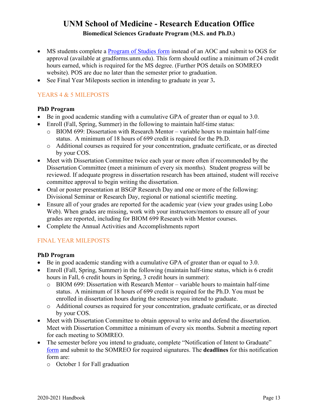- MS students complete a **Program of Studies form** instead of an AOC and submit to OGS for approval (available at gradforms.unm.edu). This form should outline a minimum of 24 credit hours earned, which is required for the MS degree. (Further POS details on SOMREO website). POS are due no later than the semester prior to graduation.
- See Final Year Mileposts section in intending to graduate in year 3**.**

### <span id="page-12-0"></span>YEARS 4 & 5 MILEPOSTS

#### **PhD Program**

- Be in good academic standing with a cumulative GPA of greater than or equal to 3.0.
- Enroll (Fall, Spring, Summer) in the following to maintain half-time status:
	- $\circ$  BIOM 699: Dissertation with Research Mentor variable hours to maintain half-time status. A minimum of 18 hours of 699 credit is required for the Ph.D.
	- o Additional courses as required for your concentration, graduate certificate, or as directed by your COS.
- Meet with Dissertation Committee twice each year or more often if recommended by the Dissertation Committee (meet a minimum of every six months). Student progress will be reviewed. If adequate progress in dissertation research has been attained, student will receive committee approval to begin writing the dissertation.
- Oral or poster presentation at BSGP Research Day and one or more of the following: Divisional Seminar or Research Day, regional or national scientific meeting.
- Ensure all of your grades are reported for the academic year (view your grades using Lobo Web). When grades are missing, work with your instructors/mentors to ensure all of your grades are reported, including for BIOM 699 Research with Mentor courses.
- Complete the Annual Activities and Accomplishments report

### <span id="page-12-1"></span>FINAL YEAR MILEPOSTS

#### **PhD Program**

- Be in good academic standing with a cumulative GPA of greater than or equal to 3.0.
- Enroll (Fall, Spring, Summer) in the following (maintain half-time status, which is 6 credit hours in Fall, 6 credit hours in Spring, 3 credit hours in summer):
	- $\circ$  BIOM 699: Dissertation with Research Mentor variable hours to maintain half-time status. A minimum of 18 hours of 699 credit is required for the Ph.D. You must be enrolled in dissertation hours during the semester you intend to graduate.
	- o Additional courses as required for your concentration, graduate certificate, or as directed by your COS.
- Meet with Dissertation Committee to obtain approval to write and defend the dissertation. Meet with Dissertation Committee a minimum of every six months. Submit a meeting report for each meeting to SOMREO.
- The semester before you intend to graduate, complete "Notification of Intent to Graduate" [form](https://hsc.unm.edu/research/brep/common/docs/brep-intent-to-graduate.pdf) and submit to the SOMREO for required signatures. The **deadlines** for this notification form are:
	- o October 1 for Fall graduation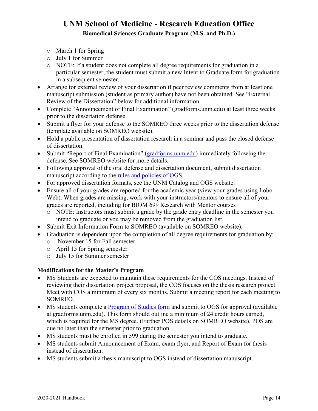- o March 1 for Spring
- o July 1 for Summer
- o NOTE: If a student does not complete all degree requirements for graduation in a particular semester, the student must submit a new Intent to Graduate form for graduation in a subsequent semester.
- Arrange for external review of your dissertation if peer review comments from at least one manuscript submission (student as primary author) have not been obtained. See "External Review of the Dissertation" below for additional information.
- Complete "Announcement of Final Examination" (gradforms.unm.edu) at least three weeks prior to the dissertation defense.
- Submit a flyer for your defense to the SOMREO three weeks prior to the dissertation defense (template available on SOMREO website).
- Hold a public presentation of dissertation research in a seminar and pass the closed defense of dissertation.
- Submit "Report of Final Examination" [\(gradforms.unm.edu\)](file://health.unm.edu/hsc_departments/SOM%20Research/BREP/BSGP/Handbook,%20Learning%20Plans,%20&%20Code%20of%20Conduct/BSGP_Handbook_2019-20/gradforms.unm.edu) immediately following the defense. See SOMREO website for more details.
- Following approval of the oral defense and dissertation document, submit dissertation manuscript according to the [rules and policies of OGS.](http://grad.unm.edu/degree-completion/index.html)
- For approved dissertation formats, see the UNM Catalog and OGS website.
- Ensure all of your grades are reported for the academic year (view your grades using Lobo Web). When grades are missing, work with your instructors/mentors to ensure all of your grades are reported, including for BIOM 699 Research with Mentor courses
	- o NOTE: Instructors must submit a grade by the grade entry deadline in the semester you intend to graduate or you may be removed from the graduation list.
- Submit Exit Information Form to SOMREO (available on SOMREO website).
- Graduation is dependent upon the completion of all degree requirements for graduation by:
	- o November 15 for Fall semester
	- o April 15 for Spring semester
	- o July 15 for Summer semester

### **Modifications for the Master's Program**

- MS Students are expected to maintain these requirements for the COS meetings. Instead of reviewing their dissertation project proposal, the COS focuses on the thesis research project. Meet with COS a minimum of every six months. Submit a meeting report for each meeting to SOMREO.
- MS students complete a [Program of Studies form](http://grad.unm.edu/resources/gs-forms/documents/pos-masters.pdf) and submit to OGS for approval (available at gradforms.unm.edu). This form should outline a minimum of 24 credit hours earned, which is required for the MS degree. (Further POS details on SOMREO website). POS are due no later than the semester prior to graduation.
- MS students must be enrolled in 599 during the semester you intend to graduate.
- MS students submit Announcement of Exam, exam flyer, and Report of Exam for thesis instead of dissertation.
- MS students submit a thesis manuscript to OGS instead of dissertation manuscript.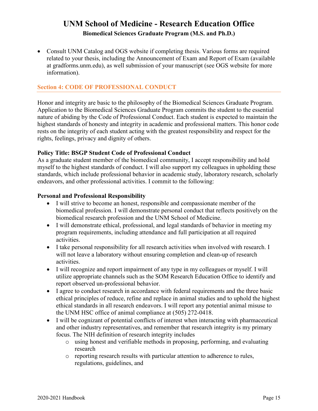• Consult UNM Catalog and OGS website if completing thesis. Various forms are required related to your thesis, including the Announcement of Exam and Report of Exam (available at gradforms.unm.edu), as well submission of your manuscript (see OGS website for more information).

### <span id="page-14-0"></span>**Section 4: CODE OF PROFESSIONAL CONDUCT**

Honor and integrity are basic to the philosophy of the Biomedical Sciences Graduate Program. Application to the Biomedical Sciences Graduate Program commits the student to the essential nature of abiding by the Code of Professional Conduct. Each student is expected to maintain the highest standards of honesty and integrity in academic and professional matters. This honor code rests on the integrity of each student acting with the greatest responsibility and respect for the rights, feelings, privacy and dignity of others.

#### **Policy Title: BSGP Student Code of Professional Conduct**

As a graduate student member of the biomedical community, I accept responsibility and hold myself to the highest standards of conduct. I will also support my colleagues in upholding these standards, which include professional behavior in academic study, laboratory research, scholarly endeavors, and other professional activities. I commit to the following:

#### **Personal and Professional Responsibility**

- I will strive to become an honest, responsible and compassionate member of the biomedical profession. I will demonstrate personal conduct that reflects positively on the biomedical research profession and the UNM School of Medicine.
- I will demonstrate ethical, professional, and legal standards of behavior in meeting my program requirements, including attendance and full participation at all required activities.
- I take personal responsibility for all research activities when involved with research. I will not leave a laboratory without ensuring completion and clean-up of research activities.
- I will recognize and report impairment of any type in my colleagues or myself. I will utilize appropriate channels such as the SOM Research Education Office to identify and report observed un-professional behavior.
- I agree to conduct research in accordance with federal requirements and the three basic ethical principles of reduce, refine and replace in animal studies and to uphold the highest ethical standards in all research endeavors. I will report any potential animal misuse to the UNM HSC office of animal compliance at (505) 272-0418.
- I will be cognizant of potential conflicts of interest when interacting with pharmaceutical and other industry representatives, and remember that research integrity is my primary focus. The NIH definition of research integrity includes
	- o using honest and verifiable methods in proposing, performing, and evaluating research
	- o reporting research results with particular attention to adherence to rules, regulations, guidelines, and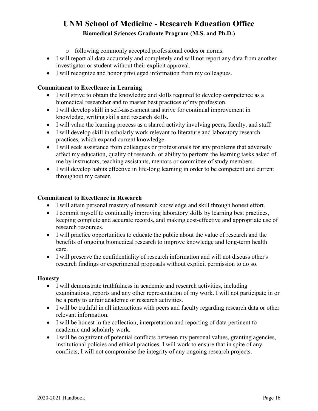- o following commonly accepted professional codes or norms.
- I will report all data accurately and completely and will not report any data from another investigator or student without their explicit approval.
- I will recognize and honor privileged information from my colleagues.

### **Commitment to Excellence in Learning**

- I will strive to obtain the knowledge and skills required to develop competence as a biomedical researcher and to master best practices of my profession.
- I will develop skill in self-assessment and strive for continual improvement in knowledge, writing skills and research skills.
- I will value the learning process as a shared activity involving peers, faculty, and staff.
- I will develop skill in scholarly work relevant to literature and laboratory research practices, which expand current knowledge.
- I will seek assistance from colleagues or professionals for any problems that adversely affect my education, quality of research, or ability to perform the learning tasks asked of me by instructors, teaching assistants, mentors or committee of study members.
- I will develop habits effective in life-long learning in order to be competent and current throughout my career.

### **Commitment to Excellence in Research**

- I will attain personal mastery of research knowledge and skill through honest effort.
- I commit myself to continually improving laboratory skills by learning best practices, keeping complete and accurate records, and making cost-effective and appropriate use of research resources.
- I will practice opportunities to educate the public about the value of research and the benefits of ongoing biomedical research to improve knowledge and long-term health care.
- I will preserve the confidentiality of research information and will not discuss other's research findings or experimental proposals without explicit permission to do so.

### **Honesty**

- I will demonstrate truthfulness in academic and research activities, including examinations, reports and any other representation of my work. I will not participate in or be a party to unfair academic or research activities.
- I will be truthful in all interactions with peers and faculty regarding research data or other relevant information.
- I will be honest in the collection, interpretation and reporting of data pertinent to academic and scholarly work.
- I will be cognizant of potential conflicts between my personal values, granting agencies, institutional policies and ethical practices. I will work to ensure that in spite of any conflicts, I will not compromise the integrity of any ongoing research projects.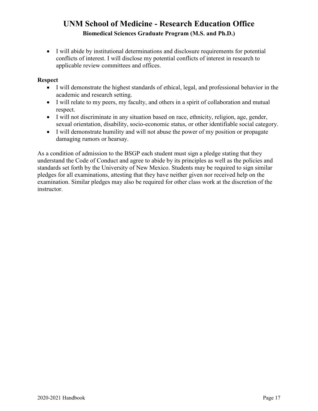• I will abide by institutional determinations and disclosure requirements for potential conflicts of interest. I will disclose my potential conflicts of interest in research to applicable review committees and offices.

### **Respect**

- I will demonstrate the highest standards of ethical, legal, and professional behavior in the academic and research setting.
- I will relate to my peers, my faculty, and others in a spirit of collaboration and mutual respect.
- I will not discriminate in any situation based on race, ethnicity, religion, age, gender, sexual orientation, disability, socio-economic status, or other identifiable social category.
- I will demonstrate humility and will not abuse the power of my position or propagate damaging rumors or hearsay.

As a condition of admission to the BSGP each student must sign a pledge stating that they understand the Code of Conduct and agree to abide by its principles as well as the policies and standards set forth by the University of New Mexico. Students may be required to sign similar pledges for all examinations, attesting that they have neither given nor received help on the examination. Similar pledges may also be required for other class work at the discretion of the instructor.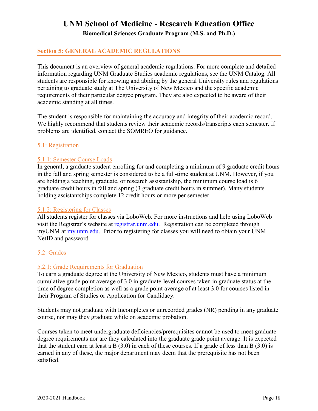#### <span id="page-17-0"></span>**Section 5: GENERAL ACADEMIC REGULATIONS**

This document is an overview of general academic regulations. For more complete and detailed information regarding UNM Graduate Studies academic regulations, see the UNM Catalog. All students are responsible for knowing and abiding by the general University rules and regulations pertaining to graduate study at The University of New Mexico and the specific academic requirements of their particular degree program. They are also expected to be aware of their academic standing at all times.

The student is responsible for maintaining the accuracy and integrity of their academic record. We highly recommend that students review their academic records/transcripts each semester. If problems are identified, contact the SOMREO for guidance.

#### <span id="page-17-1"></span>5.1: Registration

#### <span id="page-17-2"></span>5.1.1: Semester Course Loads

In general, a graduate student enrolling for and completing a minimum of 9 graduate credit hours in the fall and spring semester is considered to be a full-time student at UNM. However, if you are holding a teaching, graduate, or research assistantship, the minimum course load is 6 graduate credit hours in fall and spring (3 graduate credit hours in summer). Many students holding assistantships complete 12 credit hours or more per semester.

#### <span id="page-17-3"></span>5.1.2: Registering for Classes

All students register for classes via LoboWeb. For more instructions and help using LoboWeb visit the Registrar's website at [registrar.unm.edu.](http://registrar.unm.edu/) Registration can be completed through myUNM at [my.unm.edu.](http://my.unm.edu/) Prior to registering for classes you will need to obtain your UNM NetID and password.

#### <span id="page-17-4"></span>5.2: Grades

### <span id="page-17-5"></span>5.2.1: Grade Requirements for Graduation

To earn a graduate degree at the University of New Mexico, students must have a minimum cumulative grade point average of 3.0 in graduate-level courses taken in graduate status at the time of degree completion as well as a grade point average of at least 3.0 for courses listed in their Program of Studies or Application for Candidacy.

Students may not graduate with Incompletes or unrecorded grades (NR) pending in any graduate course, nor may they graduate while on academic probation.

Courses taken to meet undergraduate deficiencies/prerequisites cannot be used to meet graduate degree requirements nor are they calculated into the graduate grade point average. It is expected that the student earn at least a B  $(3.0)$  in each of these courses. If a grade of less than B  $(3.0)$  is earned in any of these, the major department may deem that the prerequisite has not been satisfied.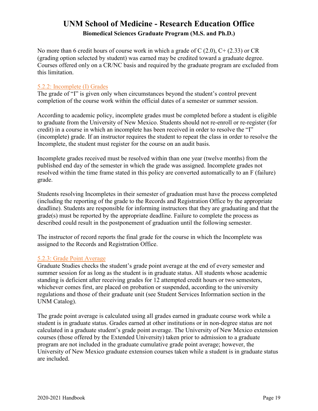No more than 6 credit hours of course work in which a grade of C  $(2.0)$ , C+ $(2.33)$  or CR (grading option selected by student) was earned may be credited toward a graduate degree. Courses offered only on a CR/NC basis and required by the graduate program are excluded from this limitation.

#### <span id="page-18-0"></span>5.2.2: Incomplete (I) Grades

The grade of "I" is given only when circumstances beyond the student's control prevent completion of the course work within the official dates of a semester or summer session.

According to academic policy, incomplete grades must be completed before a student is eligible to graduate from the University of New Mexico. Students should not re-enroll or re-register (for credit) in a course in which an incomplete has been received in order to resolve the "I" (incomplete) grade. If an instructor requires the student to repeat the class in order to resolve the Incomplete, the student must register for the course on an audit basis.

Incomplete grades received must be resolved within than one year (twelve months) from the published end day of the semester in which the grade was assigned. Incomplete grades not resolved within the time frame stated in this policy are converted automatically to an F (failure) grade.

Students resolving Incompletes in their semester of graduation must have the process completed (including the reporting of the grade to the Records and Registration Office by the appropriate deadline). Students are responsible for informing instructors that they are graduating and that the grade(s) must be reported by the appropriate deadline. Failure to complete the process as described could result in the postponement of graduation until the following semester.

The instructor of record reports the final grade for the course in which the Incomplete was assigned to the Records and Registration Office.

### <span id="page-18-1"></span>5.2.3: Grade Point Average

Graduate Studies checks the student's grade point average at the end of every semester and summer session for as long as the student is in graduate status. All students whose academic standing is deficient after receiving grades for 12 attempted credit hours or two semesters, whichever comes first, are placed on probation or suspended, according to the university regulations and those of their graduate unit (see Student Services Information section in the UNM Catalog).

The grade point average is calculated using all grades earned in graduate course work while a student is in graduate status. Grades earned at other institutions or in non-degree status are not calculated in a graduate student's grade point average. The University of New Mexico extension courses (those offered by the Extended University) taken prior to admission to a graduate program are not included in the graduate cumulative grade point average; however, the University of New Mexico graduate extension courses taken while a student is in graduate status are included.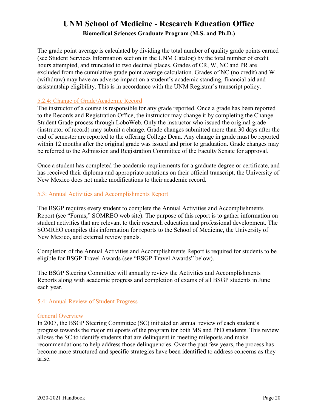The grade point average is calculated by dividing the total number of quality grade points earned (see Student Services Information section in the UNM Catalog) by the total number of credit hours attempted, and truncated to two decimal places. Grades of CR, W, NC and PR are excluded from the cumulative grade point average calculation. Grades of NC (no credit) and W (withdraw) may have an adverse impact on a student's academic standing, financial aid and assistantship eligibility. This is in accordance with the UNM Registrar's transcript policy.

#### <span id="page-19-0"></span>5.2.4: Change of Grade/Academic Record

The instructor of a course is responsible for any grade reported. Once a grade has been reported to the Records and Registration Office, the instructor may change it by completing the Change Student Grade process through LoboWeb. Only the instructor who issued the original grade (instructor of record) may submit a change. Grade changes submitted more than 30 days after the end of semester are reported to the offering College Dean. Any change in grade must be reported within 12 months after the original grade was issued and prior to graduation. Grade changes may be referred to the Admission and Registration Committee of the Faculty Senate for approval.

Once a student has completed the academic requirements for a graduate degree or certificate, and has received their diploma and appropriate notations on their official transcript, the University of New Mexico does not make modifications to their academic record.

### <span id="page-19-1"></span>5.3: Annual Activities and Accomplishments Report

The BSGP requires every student to complete the Annual Activities and Accomplishments Report (see "Forms," SOMREO web site). The purpose of this report is to gather information on student activities that are relevant to their research education and professional development. The SOMREO compiles this information for reports to the School of Medicine, the University of New Mexico, and external review panels.

Completion of the Annual Activities and Accomplishments Report is required for students to be eligible for BSGP Travel Awards (see "BSGP Travel Awards" below).

The BSGP Steering Committee will annually review the Activities and Accomplishments Reports along with academic progress and completion of exams of all BSGP students in June each year.

### <span id="page-19-2"></span>5.4: Annual Review of Student Progress

#### General Overview

In 2007, the BSGP Steering Committee (SC) initiated an annual review of each student's progress towards the major mileposts of the program for both MS and PhD students. This review allows the SC to identify students that are delinquent in meeting mileposts and make recommendations to help address those delinquencies. Over the past few years, the process has become more structured and specific strategies have been identified to address concerns as they arise.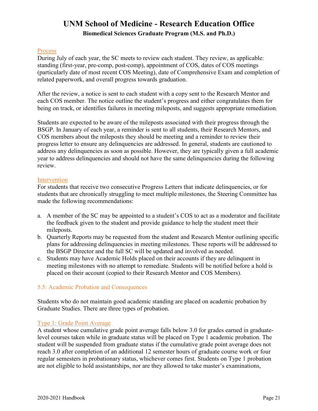#### Process

During July of each year, the SC meets to review each student. They review, as applicable: standing (first-year, pre-comp, post-comp), appointment of COS, dates of COS meetings (particularly date of most recent COS Meeting), date of Comprehensive Exam and completion of related paperwork, and overall progress towards graduation.

After the review, a notice is sent to each student with a copy sent to the Research Mentor and each COS member. The notice outline the student's progress and either congratulates them for being on track, or identifies failures in meeting mileposts, and suggests appropriate remediation.

Students are expected to be aware of the mileposts associated with their progress through the BSGP. In January of each year, a reminder is sent to all students, their Research Mentors, and COS members about the mileposts they should be meeting and a reminder to review their progress letter to ensure any delinquencies are addressed. In general, students are cautioned to address any delinquencies as soon as possible. However, they are typically given a full academic year to address delinquencies and should not have the same delinquencies during the following review.

#### Intervention

For students that receive two consecutive Progress Letters that indicate delinquencies, or for students that are chronically struggling to meet multiple milestones, the Steering Committee has made the following recommendations:

- a. A member of the SC may be appointed to a student's COS to act as a moderator and facilitate the feedback given to the student and provide guidance to help the student meet their mileposts.
- b. Quarterly Reports may be requested from the student and Research Mentor outlining specific plans for addressing delinquencies in meeting milestones. These reports will be addressed to the BSGP Director and the full SC will be updated and involved as needed.
- c. Students may have Academic Holds placed on their accounts if they are delinquent in meeting milestones with no attempt to remediate. Students will be notified before a hold is placed on their account (copied to their Research Mentor and COS Members).

### <span id="page-20-0"></span>5.5: Academic Probation and Consequences

Students who do not maintain good academic standing are placed on academic probation by Graduate Studies. There are three types of probation.

### Type 1: Grade Point Average

A student whose cumulative grade point average falls below 3.0 for grades earned in graduatelevel courses taken while in graduate status will be placed on Type 1 academic probation. The student will be suspended from graduate status if the cumulative grade point average does not reach 3.0 after completion of an additional 12 semester hours of graduate course work or four regular semesters in probationary status, whichever comes first. Students on Type 1 probation are not eligible to hold assistantships, nor are they allowed to take master's examinations,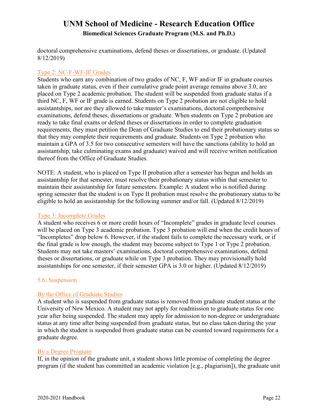doctoral comprehensive examinations, defend theses or dissertations, or graduate. (Updated 8/12/2019)

#### Type 2: NC-F-WF-IF Grades

Students who earn any combination of two grades of NC, F, WF and/or IF in graduate courses taken in graduate status, even if their cumulative grade point average remains above 3.0, are placed on Type 2 academic probation. The student will be suspended from graduate status if a third NC, F, WF or IF grade is earned. Students on Type 2 probation are not eligible to hold assistantships, nor are they allowed to take master's examinations, doctoral comprehensive examinations, defend theses, dissertations or graduate. When students on Type 2 probation are ready to take final exams or defend theses or dissertations in order to complete graduation requirements, they must petition the Dean of Graduate Studies to end their probationary status so that they may complete their requirements and graduate. Students on Type 2 probation who maintain a GPA of 3.5 for two consecutive semesters will have the sanctions (ability to hold an assistantship, take culminating exams and graduate) waived and will receive written notification thereof from the Office of Graduate Studies.

NOTE: A student, who is placed on Type II probation after a semester has begun and holds an assistantship for that semester, must resolve their probationary status within that semester to maintain their assistantship for future semesters. Example: A student who is notified during spring semester that the student is on Type II probation must resolve the probationary status to be eligible to hold an assistantship for the following summer and/or fall. (Updated 8/12/2019)

### Type 3: Incomplete Grades

A student who receives 6 or more credit hours of "Incomplete" grades in graduate level courses will be placed on Type 3 academic probation. Type 3 probation will end when the credit hours of "Incompletes" drop below 6. However, if the student fails to complete the necessary work, or if the final grade is low enough, the student may become subject to Type 1 or Type 2 probation. Students may not take masters' examinations, doctoral comprehensive examinations, defend theses or dissertations, or graduate while on Type 3 probation. They may provisionally hold assistantships for one semester, if their semester GPA is 3.0 or higher. (Updated 8/12/2019)

### <span id="page-21-0"></span>5.6: Suspension

### By the Office of Graduate Studies

A student who is suspended from graduate status is removed from graduate student status at the University of New Mexico. A student may not apply for readmission to graduate status for one year after being suspended. The student may apply for admission to non-degree or undergraduate status at any time after being suspended from graduate status, but no class taken during the year in which the student is suspended from graduate status can be counted toward requirements for a graduate degree.

#### By a Degree Program

If, in the opinion of the graduate unit, a student shows little promise of completing the degree program (if the student has committed an academic violation [e.g., plagiarism]), the graduate unit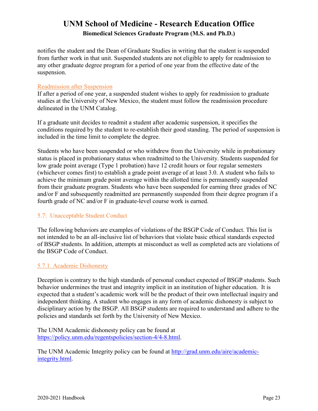notifies the student and the Dean of Graduate Studies in writing that the student is suspended from further work in that unit. Suspended students are not eligible to apply for readmission to any other graduate degree program for a period of one year from the effective date of the suspension.

#### Readmission after Suspension

If after a period of one year, a suspended student wishes to apply for readmission to graduate studies at the University of New Mexico, the student must follow the readmission procedure delineated in the UNM Catalog.

If a graduate unit decides to readmit a student after academic suspension, it specifies the conditions required by the student to re-establish their good standing. The period of suspension is included in the time limit to complete the degree.

Students who have been suspended or who withdrew from the University while in probationary status is placed in probationary status when readmitted to the University. Students suspended for low grade point average (Type 1 probation) have 12 credit hours or four regular semesters (whichever comes first) to establish a grade point average of at least 3.0. A student who fails to achieve the minimum grade point average within the allotted time is permanently suspended from their graduate program. Students who have been suspended for earning three grades of NC and/or F and subsequently readmitted are permanently suspended from their degree program if a fourth grade of NC and/or F in graduate-level course work is earned.

### <span id="page-22-0"></span>5.7: Unacceptable Student Conduct

The following behaviors are examples of violations of the BSGP Code of Conduct. This list is not intended to be an all-inclusive list of behaviors that violate basic ethical standards expected of BSGP students. In addition, attempts at misconduct as well as completed acts are violations of the BSGP Code of Conduct.

#### <span id="page-22-1"></span>5.7.1. Academic Dishonesty

Deception is contrary to the high standards of personal conduct expected of BSGP students. Such behavior undermines the trust and integrity implicit in an institution of higher education. It is expected that a student's academic work will be the product of their own intellectual inquiry and independent thinking. A student who engages in any form of academic dishonesty is subject to disciplinary action by the BSGP. All BSGP students are required to understand and adhere to the policies and standards set forth by the University of New Mexico.

The UNM Academic dishonesty policy can be found at [https://policy.unm.edu/regentspolicies/section-4/4-8.html.](https://policy.unm.edu/regentspolicies/section-4/4-8.html)

The UNM Academic Integrity policy can be found at [http://grad.unm.edu/aire/academic](http://grad.unm.edu/aire/academic-integrity.html)[integrity.html.](http://grad.unm.edu/aire/academic-integrity.html)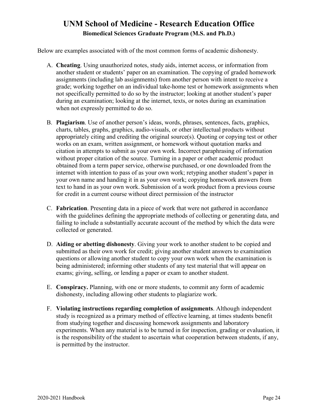Below are examples associated with of the most common forms of academic dishonesty.

- A. **Cheating**. Using unauthorized notes, study aids, internet access, or information from another student or students' paper on an examination. The copying of graded homework assignments (including lab assignments) from another person with intent to receive a grade; working together on an individual take-home test or homework assignments when not specifically permitted to do so by the instructor; looking at another student's paper during an examination; looking at the internet, texts, or notes during an examination when not expressly permitted to do so.
- B. **Plagiarism**. Use of another person's ideas, words, phrases, sentences, facts, graphics, charts, tables, graphs, graphics, audio-visuals, or other intellectual products without appropriately citing and crediting the original source(s). Quoting or copying test or other works on an exam, written assignment, or homework without quotation marks and citation in attempts to submit as your own work. Incorrect paraphrasing of information without proper citation of the source. Turning in a paper or other academic product obtained from a term paper service, otherwise purchased, or one downloaded from the internet with intention to pass of as your own work; retyping another student's paper in your own name and handing it in as your own work; copying homework answers from text to hand in as your own work. Submission of a work product from a previous course for credit in a current course without direct permission of the instructor
- C. **Fabrication**. Presenting data in a piece of work that were not gathered in accordance with the guidelines defining the appropriate methods of collecting or generating data, and failing to include a substantially accurate account of the method by which the data were collected or generated.
- D. **Aiding or abetting dishonesty**. Giving your work to another student to be copied and submitted as their own work for credit; giving another student answers to examination questions or allowing another student to copy your own work when the examination is being administered; informing other students of any test material that will appear on exams; giving, selling, or lending a paper or exam to another student.
- E. **Conspiracy.** Planning, with one or more students, to commit any form of academic dishonesty, including allowing other students to plagiarize work.
- F. **Violating instructions regarding completion of assignments**. Although independent study is recognized as a primary method of effective learning, at times students benefit from studying together and discussing homework assignments and laboratory experiments. When any material is to be turned in for inspection, grading or evaluation, it is the responsibility of the student to ascertain what cooperation between students, if any, is permitted by the instructor.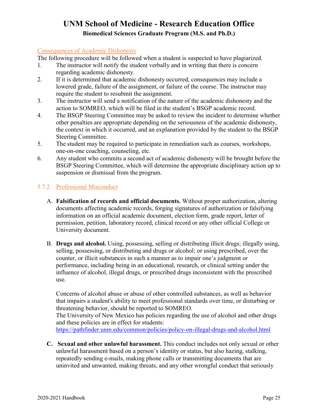#### Consequences of Academic Dishonesty

The following procedure will be followed when a student is suspected to have plagiarized.

- 1. The instructor will notify the student verbally and in writing that there is concern regarding academic dishonesty.
- 2. If it is determined that academic dishonesty occurred, consequences may include a lowered grade, failure of the assignment, or failure of the course. The instructor may require the student to resubmit the assignment.
- 3. The instructor will send a notification of the nature of the academic dishonesty and the action to SOMREO, which will be filed in the student's BSGP academic record.
- 4. The BSGP Steering Committee may be asked to review the incident to determine whether other penalties are appropriate depending on the seriousness of the academic dishonesty, the context in which it occurred, and an explanation provided by the student to the BSGP Steering Committee.
- 5. The student may be required to participate in remediation such as courses, workshops, one-on-one coaching, counseling, etc.
- 6. Any student who commits a second act of academic dishonesty will be brought before the BSGP Steering Committee, which will determine the appropriate disciplinary action up to suspension or dismissal from the program.

### <span id="page-24-0"></span>5.7.2 Professional Misconduct

- A. **Falsification of records and official documents.** Without proper authorization, altering documents affecting academic records, forging signatures of authorization or falsifying information on an official academic document, election form, grade report, letter of permission, petition, laboratory record, clinical record or any other official College or University document.
- B. **Drugs and alcohol.** Using, possessing, selling or distributing illicit drugs; illegally using, selling, possessing, or distributing and drugs or alcohol; or using prescribed, over the counter, or illicit substances in such a manner as to impair one's judgment or performance, including being in an educational, research, or clinical setting under the influence of alcohol, illegal drugs, or prescribed drugs inconsistent with the prescribed use.

Concerns of alcohol abuse or abuse of other controlled substances, as well as behavior that impairs a student's ability to meet professional standards over time, or disturbing or threatening behavior, should be reported to SOMREO. The University of New Mexico has policies regarding the use of alcohol and other drugs and these policies are in effect for students:

<https://pathfinder.unm.edu/common/policies/policy-on-illegal-drugs-and-alcohol.html>

**C. Sexual and other unlawful harassment.** This conduct includes not only sexual or other unlawful harassment based on a person's identity or status, but also hazing, stalking, repeatedly sending e-mails, making phone calls or transmitting documents that are uninvited and unwanted, making threats, and any other wrongful conduct that seriously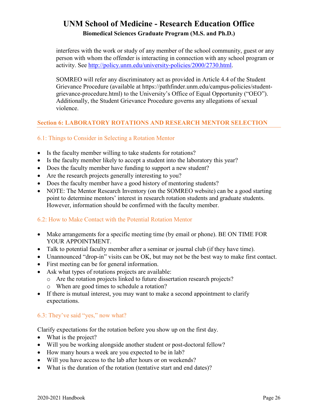interferes with the work or study of any member of the school community, guest or any person with whom the offender is interacting in connection with any school program or activity. See [http://policy.unm.edu/university-policies/2000/2730.html.](http://policy.unm.edu/university-policies/2000/2730.html)

SOMREO will refer any discriminatory act as provided in Article 4.4 of the Student Grievance Procedure (available at https://pathfinder.unm.edu/campus-policies/studentgrievance-procedure.html) to the University's Office of Equal Opportunity ("OEO"). Additionally, the Student Grievance Procedure governs any allegations of sexual violence.

### <span id="page-25-0"></span>**Section 6: LABORATORY ROTATIONS AND RESEARCH MENTOR SELECTION**

### <span id="page-25-1"></span>6.1: Things to Consider in Selecting a Rotation Mentor

- Is the faculty member willing to take students for rotations?
- Is the faculty member likely to accept a student into the laboratory this year?
- Does the faculty member have funding to support a new student?
- Are the research projects generally interesting to you?
- Does the faculty member have a good history of mentoring students?
- NOTE: The Mentor Research Inventory (on the SOMREO website) can be a good starting point to determine mentors' interest in research rotation students and graduate students. However, information should be confirmed with the faculty member.

### <span id="page-25-2"></span>6.2: How to Make Contact with the Potential Rotation Mentor

- Make arrangements for a specific meeting time (by email or phone). BE ON TIME FOR YOUR APPOINTMENT.
- Talk to potential faculty member after a seminar or journal club (if they have time).
- Unannounced "drop-in" visits can be OK, but may not be the best way to make first contact.
- First meeting can be for general information.
- Ask what types of rotations projects are available:
	- o Are the rotation projects linked to future dissertation research projects?
	- o When are good times to schedule a rotation?
- If there is mutual interest, you may want to make a second appointment to clarify expectations.

### <span id="page-25-3"></span>6.3: They've said "yes," now what?

Clarify expectations for the rotation before you show up on the first day.

- What is the project?
- Will you be working alongside another student or post-doctoral fellow?
- How many hours a week are you expected to be in lab?
- Will you have access to the lab after hours or on weekends?
- What is the duration of the rotation (tentative start and end dates)?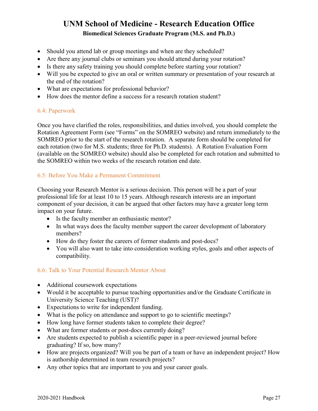- Should you attend lab or group meetings and when are they scheduled?
- Are there any journal clubs or seminars you should attend during your rotation?
- Is there any safety training you should complete before starting your rotation?
- Will you be expected to give an oral or written summary or presentation of your research at the end of the rotation?
- What are expectations for professional behavior?
- How does the mentor define a success for a research rotation student?

#### <span id="page-26-0"></span>6.4: Paperwork

Once you have clarified the roles, responsibilities, and duties involved, you should complete the Rotation Agreement Form (see "Forms" on the SOMREO website) and return immediately to the SOMREO prior to the start of the research rotation. A separate form should be completed for each rotation (two for M.S. students; three for Ph.D. students). A Rotation Evaluation Form (available on the SOMREO website) should also be completed for each rotation and submitted to the SOMREO within two weeks of the research rotation end date.

### <span id="page-26-1"></span>6.5: Before You Make a Permanent Commitment

Choosing your Research Mentor is a serious decision. This person will be a part of your professional life for at least 10 to 15 years. Although research interests are an important component of your decision, it can be argued that other factors may have a greater long term impact on your future.

- Is the faculty member an enthusiastic mentor?
- In what ways does the faculty member support the career development of laboratory members?
- How do they foster the careers of former students and post-docs?
- You will also want to take into consideration working styles, goals and other aspects of compatibility.

### <span id="page-26-2"></span>6.6: Talk to Your Potential Research Mentor About

- Additional coursework expectations
- Would it be acceptable to pursue teaching opportunities and/or the Graduate Certificate in University Science Teaching (UST)?
- Expectations to write for independent funding.
- What is the policy on attendance and support to go to scientific meetings?
- How long have former students taken to complete their degree?
- What are former students or post-docs currently doing?
- Are students expected to publish a scientific paper in a peer-reviewed journal before graduating? If so, how many?
- How are projects organized? Will you be part of a team or have an independent project? How is authorship determined in team research projects?
- Any other topics that are important to you and your career goals.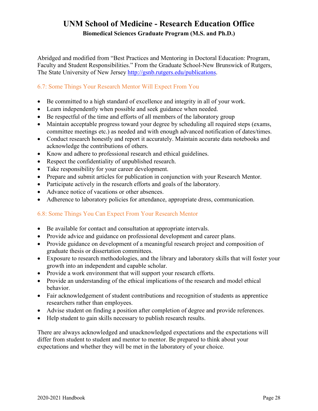Abridged and modified from "Best Practices and Mentoring in Doctoral Education: Program, Faculty and Student Responsibilities." From the Graduate School-New Brunswick of Rutgers, The State University of New Jersey [http://gsnb.rutgers.edu/publications.](http://gsnb.rutgers.edu/publications)

### <span id="page-27-0"></span>6.7: Some Things Your Research Mentor Will Expect From You

- Be committed to a high standard of excellence and integrity in all of your work.
- Learn independently when possible and seek guidance when needed.
- Be respectful of the time and efforts of all members of the laboratory group
- Maintain acceptable progress toward your degree by scheduling all required steps (exams, committee meetings etc.) as needed and with enough advanced notification of dates/times.
- Conduct research honestly and report it accurately. Maintain accurate data notebooks and acknowledge the contributions of others.
- Know and adhere to professional research and ethical guidelines.
- Respect the confidentiality of unpublished research.
- Take responsibility for your career development.
- Prepare and submit articles for publication in conjunction with your Research Mentor.
- Participate actively in the research efforts and goals of the laboratory.
- Advance notice of vacations or other absences.
- Adherence to laboratory policies for attendance, appropriate dress, communication.

### <span id="page-27-1"></span>6.8: Some Things You Can Expect From Your Research Mentor

- Be available for contact and consultation at appropriate intervals.
- Provide advice and guidance on professional development and career plans.
- Provide guidance on development of a meaningful research project and composition of graduate thesis or dissertation committees.
- Exposure to research methodologies, and the library and laboratory skills that will foster your growth into an independent and capable scholar.
- Provide a work environment that will support your research efforts.
- Provide an understanding of the ethical implications of the research and model ethical behavior.
- Fair acknowledgement of student contributions and recognition of students as apprentice researchers rather than employees.
- Advise student on finding a position after completion of degree and provide references.
- Help student to gain skills necessary to publish research results.

There are always acknowledged and unacknowledged expectations and the expectations will differ from student to student and mentor to mentor. Be prepared to think about your expectations and whether they will be met in the laboratory of your choice.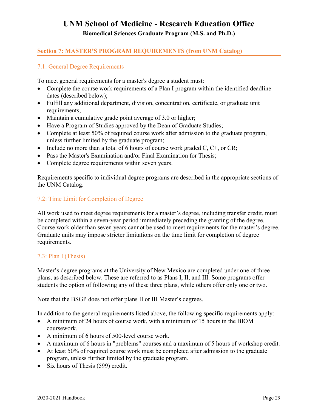#### <span id="page-28-0"></span>**Section 7: MASTER'S PROGRAM REQUIREMENTS (from UNM Catalog)**

#### <span id="page-28-1"></span>7.1: General Degree Requirements

To meet general requirements for a master's degree a student must:

- Complete the course work requirements of a Plan I program within the identified deadline dates (described below);
- Fulfill any additional department, division, concentration, certificate, or graduate unit requirements;
- Maintain a cumulative grade point average of 3.0 or higher;
- Have a Program of Studies approved by the Dean of Graduate Studies;
- Complete at least 50% of required course work after admission to the graduate program, unless further limited by the graduate program;
- Include no more than a total of 6 hours of course work graded  $C$ ,  $C$ +, or  $CR$ ;
- Pass the Master's Examination and/or Final Examination for Thesis;
- Complete degree requirements within seven years.

Requirements specific to individual degree programs are described in the appropriate sections of the UNM Catalog.

### <span id="page-28-2"></span>7.2: Time Limit for Completion of Degree

All work used to meet degree requirements for a master's degree, including transfer credit, must be completed within a seven-year period immediately preceding the granting of the degree. Course work older than seven years cannot be used to meet requirements for the master's degree. Graduate units may impose stricter limitations on the time limit for completion of degree requirements.

#### <span id="page-28-3"></span>7.3: Plan I (Thesis)

Master's degree programs at the University of New Mexico are completed under one of three plans, as described below. These are referred to as Plans I, II, and III. Some programs offer students the option of following any of these three plans, while others offer only one or two.

Note that the BSGP does not offer plans II or III Master's degrees.

In addition to the general requirements listed above, the following specific requirements apply:

- A minimum of 24 hours of course work, with a minimum of 15 hours in the BIOM coursework.
- A minimum of 6 hours of 500-level course work.
- A maximum of 6 hours in "problems" courses and a maximum of 5 hours of workshop credit.
- At least 50% of required course work must be completed after admission to the graduate program, unless further limited by the graduate program.
- Six hours of Thesis (599) credit.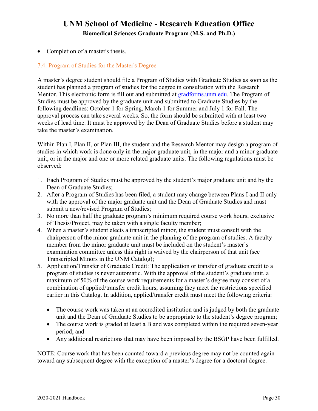• Completion of a master's thesis.

### <span id="page-29-0"></span>7.4: Program of Studies for the Master's Degree

A master's degree student should file a Program of Studies with Graduate Studies as soon as the student has planned a program of studies for the degree in consultation with the Research Mentor. This electronic form is fill out and submitted at [gradforms.unm.edu.](file://health.unm.edu/hsc_departments/SOM%20Research/BREP/BSGP/Handbook,%20Learning%20Plans,%20&%20Code%20of%20Conduct/BSGP_Handbook_2019-20/gradforms.unm.edu) The Program of Studies must be approved by the graduate unit and submitted to Graduate Studies by the following deadlines: October 1 for Spring, March 1 for Summer and July 1 for Fall. The approval process can take several weeks. So, the form should be submitted with at least two weeks of lead time. It must be approved by the Dean of Graduate Studies before a student may take the master's examination.

Within Plan I, Plan II, or Plan III, the student and the Research Mentor may design a program of studies in which work is done only in the major graduate unit, in the major and a minor graduate unit, or in the major and one or more related graduate units. The following regulations must be observed:

- 1. Each Program of Studies must be approved by the student's major graduate unit and by the Dean of Graduate Studies;
- 2. After a Program of Studies has been filed, a student may change between Plans I and II only with the approval of the major graduate unit and the Dean of Graduate Studies and must submit a new/revised Program of Studies;
- 3. No more than half the graduate program's minimum required course work hours, exclusive of Thesis/Project, may be taken with a single faculty member;
- 4. When a master's student elects a transcripted minor, the student must consult with the chairperson of the minor graduate unit in the planning of the program of studies. A faculty member from the minor graduate unit must be included on the student's master's examination committee unless this right is waived by the chairperson of that unit (see Transcripted Minors in the UNM Catalog);
- 5. Application/Transfer of Graduate Credit: The application or transfer of graduate credit to a program of studies is never automatic. With the approval of the student's graduate unit, a maximum of 50% of the course work requirements for a master's degree may consist of a combination of applied/transfer credit hours, assuming they meet the restrictions specified earlier in this Catalog. In addition, applied/transfer credit must meet the following criteria:
	- The course work was taken at an accredited institution and is judged by both the graduate unit and the Dean of Graduate Studies to be appropriate to the student's degree program;
	- The course work is graded at least a B and was completed within the required seven-year period; and
	- Any additional restrictions that may have been imposed by the BSGP have been fulfilled.

NOTE: Course work that has been counted toward a previous degree may not be counted again toward any subsequent degree with the exception of a master's degree for a doctoral degree.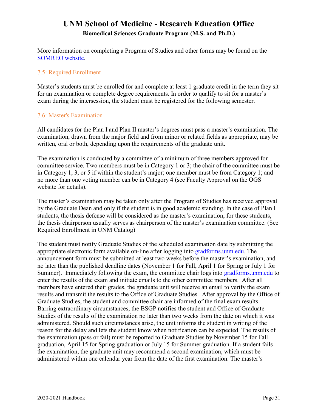More information on completing a Program of Studies and other forms may be found on the [SOMREO](http://hsc.unm.edu/research/brep/graduate/bsgp/index.html) website.

### <span id="page-30-0"></span>7.5: Required Enrollment

Master's students must be enrolled for and complete at least 1 graduate credit in the term they sit for an examination or complete degree requirements. In order to qualify to sit for a master's exam during the intersession, the student must be registered for the following semester.

#### <span id="page-30-1"></span>7.6: Master's Examination

All candidates for the Plan I and Plan II master's degrees must pass a master's examination. The examination, drawn from the major field and from minor or related fields as appropriate, may be written, oral or both, depending upon the requirements of the graduate unit.

The examination is conducted by a committee of a minimum of three members approved for committee service. Two members must be in Category 1 or 3; the chair of the committee must be in Category 1, 3, or 5 if within the student's major; one member must be from Category 1; and no more than one voting member can be in Category 4 (see Faculty Approval on the OGS website for details).

The master's examination may be taken only after the Program of Studies has received approval by the Graduate Dean and only if the student is in good academic standing. In the case of Plan I students, the thesis defense will be considered as the master's examination; for these students, the thesis chairperson usually serves as chairperson of the master's examination committee. (See Required Enrollment in UNM Catalog)

The student must notify Graduate Studies of the scheduled examination date by submitting the appropriate electronic form available on-line after logging into [gradforms.unm.edu.](https://login.unm.edu/cas/login?service=https%3a%2f%2fgradforms.unm.edu%2fhome) The announcement form must be submitted at least two weeks before the master's examination, and no later than the published deadline dates (November 1 for Fall, April 1 for Spring or July 1 for Summer). Immediately following the exam, the committee chair logs into [gradforms.unm.edu](https://login.unm.edu/cas/login?service=https%3a%2f%2fgradforms.unm.edu%2fhome) to enter the results of the exam and initiate emails to the other committee members. After all members have entered their grades, the graduate unit will receive an email to verify the exam results and transmit the results to the Office of Graduate Studies. After approval by the Office of Graduate Studies, the student and committee chair are informed of the final exam results. Barring extraordinary circumstances, the BSGP notifies the student and Office of Graduate Studies of the results of the examination no later than two weeks from the date on which it was administered. Should such circumstances arise, the unit informs the student in writing of the reason for the delay and lets the student know when notification can be expected. The results of the examination (pass or fail) must be reported to Graduate Studies by November 15 for Fall graduation, April 15 for Spring graduation or July 15 for Summer graduation. If a student fails the examination, the graduate unit may recommend a second examination, which must be administered within one calendar year from the date of the first examination. The master's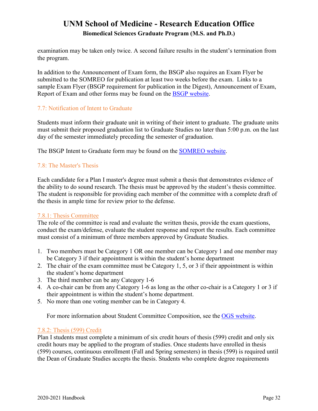examination may be taken only twice. A second failure results in the student's termination from the program.

In addition to the Announcement of Exam form, the BSGP also requires an Exam Flyer be submitted to the SOMREO for publication at least two weeks before the exam. Links to a sample Exam Flyer (BSGP requirement for publication in the Digest), Announcement of Exam, Report of Exam and other forms may be found on the [BSGP website.](http://hsc.unm.edu/research/brep/graduate/bsgp/index.html)

### <span id="page-31-0"></span>7.7: Notification of Intent to Graduate

Students must inform their graduate unit in writing of their intent to graduate. The graduate units must submit their proposed graduation list to Graduate Studies no later than 5:00 p.m. on the last day of the semester immediately preceding the semester of graduation.

The BSGP Intent to Graduate form may be found on the [SOMREO](http://hsc.unm.edu/research/brep/graduate/bsgp/index.html) website.

### <span id="page-31-1"></span>7.8: The Master's Thesis

Each candidate for a Plan I master's degree must submit a thesis that demonstrates evidence of the ability to do sound research. The thesis must be approved by the student's thesis committee. The student is responsible for providing each member of the committee with a complete draft of the thesis in ample time for review prior to the defense.

### <span id="page-31-2"></span>7.8.1: Thesis Committee

The role of the committee is read and evaluate the written thesis, provide the exam questions, conduct the exam/defense, evaluate the student response and report the results. Each committee must consist of a minimum of three members approved by Graduate Studies.

- 1. Two members must be Category 1 OR one member can be Category 1 and one member may be Category 3 if their appointment is within the student's home department
- 2. The chair of the exam committee must be Category 1, 5, or 3 if their appointment is within the student's home department
- 3. The third member can be any Category 1-6
- 4. A co-chair can be from any Category 1-6 as long as the other co-chair is a Category 1 or 3 if their appointment is within the student's home department.
- 5. No more than one voting member can be in Category 4.

For more information about Student Committee Composition, see the [OGS website.](http://grad.unm.edu/resources/gs-forms/committee-composition.html)

### <span id="page-31-3"></span>7.8.2: Thesis (599) Credit

Plan I students must complete a minimum of six credit hours of thesis (599) credit and only six credit hours may be applied to the program of studies. Once students have enrolled in thesis (599) courses, continuous enrollment (Fall and Spring semesters) in thesis (599) is required until the Dean of Graduate Studies accepts the thesis. Students who complete degree requirements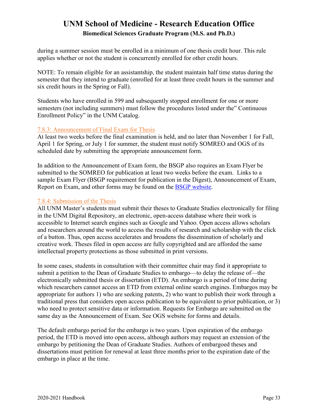during a summer session must be enrolled in a minimum of one thesis credit hour. This rule applies whether or not the student is concurrently enrolled for other credit hours.

NOTE: To remain eligible for an assistantship, the student maintain half time status during the semester that they intend to graduate (enrolled for at least three credit hours in the summer and six credit hours in the Spring or Fall).

Students who have enrolled in 599 and subsequently stopped enrollment for one or more semesters (not including summers) must follow the procedures listed under the" Continuous Enrollment Policy" in the UNM Catalog.

#### <span id="page-32-0"></span>7.8.3: Announcement of Final Exam for Thesis

At least two weeks before the final examination is held, and no later than November 1 for Fall, April 1 for Spring, or July 1 for summer, the student must notify SOMREO and OGS of its scheduled date by submitting the appropriate announcement form.

In addition to the Announcement of Exam form, the BSGP also requires an Exam Flyer be submitted to the SOMREO for publication at least two weeks before the exam. Links to a sample Exam Flyer (BSGP requirement for publication in the Digest), Announcement of Exam, Report on Exam, and other forms may be found on the [BSGP website.](http://hsc.unm.edu/research/brep/graduate/bsgp/index.html)

### <span id="page-32-1"></span>7.8.4: Submission of the Thesis

All UNM Master's students must submit their theses to Graduate Studies electronically for filing in the UNM Digital Repository, an electronic, open-access database where their work is accessible to Internet search engines such as Google and Yahoo. Open access allows scholars and researchers around the world to access the results of research and scholarship with the click of a button. Thus, open access accelerates and broadens the dissemination of scholarly and creative work. Theses filed in open access are fully copyrighted and are afforded the same intellectual property protections as those submitted in print versions.

In some cases, students in consultation with their committee chair may find it appropriate to submit a petition to the Dean of Graduate Studies to embargo—to delay the release of—the electronically submitted thesis or dissertation (ETD). An embargo is a period of time during which researchers cannot access an ETD from external online search engines. Embargos may be appropriate for authors 1) who are seeking patents, 2) who want to publish their work through a traditional press that considers open access publication to be equivalent to prior publication, or 3) who need to protect sensitive data or information. Requests for Embargo are submitted on the same day as the Announcement of Exam. See OGS website for forms and details.

The default embargo period for the embargo is two years. Upon expiration of the embargo period, the ETD is moved into open access, although authors may request an extension of the embargo by petitioning the Dean of Graduate Studies. Authors of embargoed theses and dissertations must petition for renewal at least three months prior to the expiration date of the embargo in place at the time.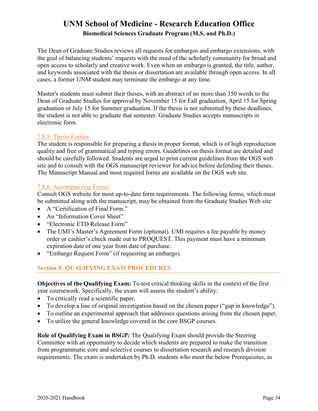The Dean of Graduate Studies reviews all requests for embargos and embargo extensions, with the goal of balancing students' requests with the need of the scholarly community for broad and open access to scholarly and creative work. Even when an embargo is granted, the title, author, and keywords associated with the thesis or dissertation are available through open access. In all cases, a former UNM student may terminate the embargo at any time.

Master's students must submit their theses, with an abstract of no more than 350 words to the Dean of Graduate Studies for approval by November 15 for Fall graduation, April 15 for Spring graduation or July 15 for Summer graduation. If the thesis is not submitted by these deadlines, the student is not able to graduate that semester. Graduate Studies accepts manuscripts in electronic form.

#### <span id="page-33-0"></span>7.8.5: Thesis Format

The student is responsible for preparing a thesis in proper format, which is of high reproduction quality and free of grammatical and typing errors. Guidelines on thesis format are detailed and should be carefully followed. Students are urged to print current guidelines from the OGS web site and to consult with the OGS manuscript reviewer for advice before defending their theses. The Manuscript Manual and most required forms are available on the OGS web site.

#### <span id="page-33-1"></span>7.8.6: Accompanying Forms

Consult OGS website for most up-to-date form requirements. The following forms, which must be submitted along with the manuscript, may be obtained from the Graduate Studies Web site:

- A "Certification of Final Form."
- An "Information Cover Sheet"
- "Electronic ETD Release Form"
- The UMI's Master's Agreement Form (optional). UMI requires a fee payable by money order or cashier's check made out to PROQUEST. This payment must have a minimum expiration date of one year from date of purchase.
- "Embargo Request Form" (if requesting an embargo).

### <span id="page-33-2"></span>**Section 8: QUALIFYING EXAM PROCEDURES**

**Objectives of the Qualifying Exam:** To test critical thinking skills in the context of the first year coursework. Specifically, the exam will assess the student's ability:

- To critically read a scientific paper,
- To develop a line of original investigation based on the chosen paper ("gap in knowledge"),
- To outline an experimental approach that addresses questions arising from the chosen paper,
- To utilize the general knowledge covered in the core BSGP courses.

**Role of Qualifying Exam in BSGP:** The Qualifying Exam should provide the Steering Committee with an opportunity to decide which students are prepared to make the transition from programmatic core and selective courses to dissertation research and research division requirements. The exam is undertaken by Ph.D. students who meet the below Prerequisites, as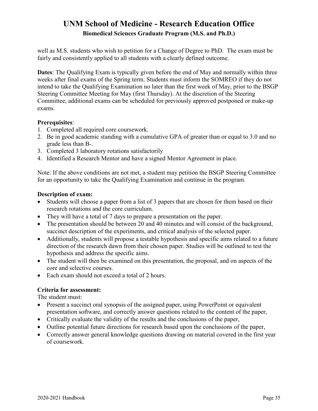well as M.S. students who wish to petition for a Change of Degree to PhD. The exam must be fairly and consistently applied to all students with a clearly defined outcome.

**Dates**: The Qualifying Exam is typically given before the end of May and normally within three weeks after final exams of the Spring term. Students must inform the SOMREO if they do not intend to take the Qualifying Examination no later than the first week of May, prior to the BSGP Steering Committee Meeting for May (first Thursday). At the discretion of the Steering Committee, additional exams can be scheduled for previously approved postponed or make-up exams.

#### **Prerequisites**:

- 1. Completed all required core coursework.
- 2. Be in good academic standing with a cumulative GPA of greater than or equal to 3.0 and no grade less than B-.
- 3. Completed 3 laboratory rotations satisfactorily
- 4. Identified a Research Mentor and have a signed Mentor Agreement in place.

Note: If the above conditions are not met, a student may petition the BSGP Steering Committee for an opportunity to take the Qualifying Examination and continue in the program.

#### **Description of exam:**

- Students will choose a paper from a list of 3 papers that are chosen for them based on their research rotations and the core curriculum.
- They will have a total of 7 days to prepare a presentation on the paper.
- The presentation should be between 20 and 40 minutes and will consist of the background, succinct description of the experiments, and critical analysis of the selected paper.
- Additionally, students will propose a testable hypothesis and specific aims related to a future direction of the research dawn from their chosen paper. Studies will be outlined to test the hypothesis and address the specific aims.
- The student will then be examined on this presentation, the proposal, and on aspects of the core and selective courses.
- Each exam should not exceed a total of 2 hours.

### **Criteria for assessment:**

The student must:

- Present a succinct oral synopsis of the assigned paper, using PowerPoint or equivalent presentation software, and correctly answer questions related to the content of the paper,
- Critically evaluate the validity of the results and the conclusions of the paper,
- Outline potential future directions for research based upon the conclusions of the paper,
- Correctly answer general knowledge questions drawing on material covered in the first year of coursework.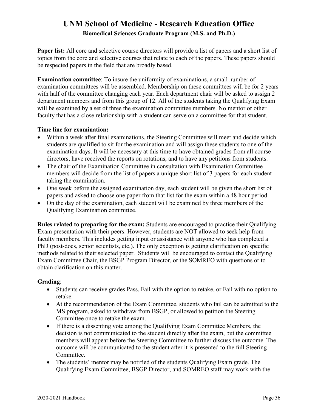**Paper list:** All core and selective course directors will provide a list of papers and a short list of topics from the core and selective courses that relate to each of the papers. These papers should be respected papers in the field that are broadly based.

**Examination committee**: To insure the uniformity of examinations, a small number of examination committees will be assembled. Membership on these committees will be for 2 years with half of the committee changing each year. Each department chair will be asked to assign 2 department members and from this group of 12. All of the students taking the Qualifying Exam will be examined by a set of three the examination committee members. No mentor or other faculty that has a close relationship with a student can serve on a committee for that student.

#### **Time line for examination:**

- Within a week after final examinations, the Steering Committee will meet and decide which students are qualified to sit for the examination and will assign these students to one of the examination days. It will be necessary at this time to have obtained grades from all course directors, have received the reports on rotations, and to have any petitions from students.
- The chair of the Examination Committee in consultation with Examination Committee members will decide from the list of papers a unique short list of 3 papers for each student taking the examination.
- One week before the assigned examination day, each student will be given the short list of papers and asked to choose one paper from that list for the exam within a 48 hour period.
- On the day of the examination, each student will be examined by three members of the Qualifying Examination committee.

**Rules related to preparing for the exam:** Students are encouraged to practice their Qualifying Exam presentation with their peers. However, students are NOT allowed to seek help from faculty members. This includes getting input or assistance with anyone who has completed a PhD (post-docs, senior scientists, etc.). The only exception is getting clarification on specific methods related to their selected paper. Students will be encouraged to contact the Qualifying Exam Committee Chair, the BSGP Program Director, or the SOMREO with questions or to obtain clarification on this matter.

### **Grading**:

- Students can receive grades Pass, Fail with the option to retake, or Fail with no option to retake.
- At the recommendation of the Exam Committee, students who fail can be admitted to the MS program, asked to withdraw from BSGP, or allowed to petition the Steering Committee once to retake the exam.
- If there is a dissenting vote among the Qualifying Exam Committee Members, the decision is not communicated to the student directly after the exam, but the committee members will appear before the Steering Committee to further discuss the outcome. The outcome will be communicated to the student after it is presented to the full Steering Committee.
- The students' mentor may be notified of the students Qualifying Exam grade. The Qualifying Exam Committee, BSGP Director, and SOMREO staff may work with the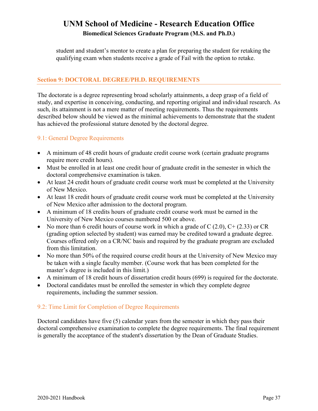student and student's mentor to create a plan for preparing the student for retaking the qualifying exam when students receive a grade of Fail with the option to retake.

### <span id="page-36-0"></span>**Section 9: DOCTORAL DEGREE/PH.D. REQUIREMENTS**

The doctorate is a degree representing broad scholarly attainments, a deep grasp of a field of study, and expertise in conceiving, conducting, and reporting original and individual research. As such, its attainment is not a mere matter of meeting requirements. Thus the requirements described below should be viewed as the minimal achievements to demonstrate that the student has achieved the professional stature denoted by the doctoral degree.

### <span id="page-36-1"></span>9.1: General Degree Requirements

- A minimum of 48 credit hours of graduate credit course work (certain graduate programs require more credit hours).
- Must be enrolled in at least one credit hour of graduate credit in the semester in which the doctoral comprehensive examination is taken.
- At least 24 credit hours of graduate credit course work must be completed at the University of New Mexico.
- At least 18 credit hours of graduate credit course work must be completed at the University of New Mexico after admission to the doctoral program.
- A minimum of 18 credits hours of graduate credit course work must be earned in the University of New Mexico courses numbered 500 or above.
- No more than 6 credit hours of course work in which a grade of C  $(2.0)$ , C+ $(2.33)$  or CR (grading option selected by student) was earned may be credited toward a graduate degree. Courses offered only on a CR/NC basis and required by the graduate program are excluded from this limitation.
- No more than 50% of the required course credit hours at the University of New Mexico may be taken with a single faculty member. (Course work that has been completed for the master's degree is included in this limit.)
- A minimum of 18 credit hours of dissertation credit hours (699) is required for the doctorate.
- Doctoral candidates must be enrolled the semester in which they complete degree requirements, including the summer session.

### <span id="page-36-2"></span>9.2: Time Limit for Completion of Degree Requirements

Doctoral candidates have five (5) calendar years from the semester in which they pass their doctoral comprehensive examination to complete the degree requirements. The final requirement is generally the acceptance of the student's dissertation by the Dean of Graduate Studies.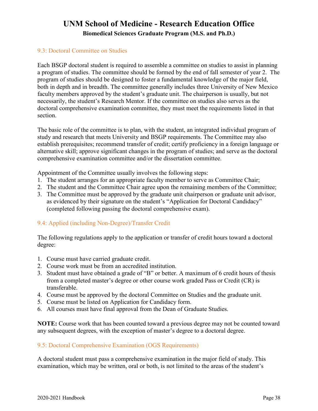#### <span id="page-37-0"></span>9.3: Doctoral Committee on Studies

Each BSGP doctoral student is required to assemble a committee on studies to assist in planning a program of studies. The committee should be formed by the end of fall semester of year 2. The program of studies should be designed to foster a fundamental knowledge of the major field, both in depth and in breadth. The committee generally includes three University of New Mexico faculty members approved by the student's graduate unit. The chairperson is usually, but not necessarily, the student's Research Mentor. If the committee on studies also serves as the doctoral comprehensive examination committee, they must meet the requirements listed in that section.

The basic role of the committee is to plan, with the student, an integrated individual program of study and research that meets University and BSGP requirements. The Committee may also establish prerequisites; recommend transfer of credit; certify proficiency in a foreign language or alternative skill; approve significant changes in the program of studies; and serve as the doctoral comprehensive examination committee and/or the dissertation committee.

Appointment of the Committee usually involves the following steps:

- 1. The student arranges for an appropriate faculty member to serve as Committee Chair;
- 2. The student and the Committee Chair agree upon the remaining members of the Committee;
- 3. The Committee must be approved by the graduate unit chairperson or graduate unit advisor, as evidenced by their signature on the student's "Application for Doctoral Candidacy" (completed following passing the doctoral comprehensive exam).

### <span id="page-37-1"></span>9.4: Applied (including Non-Degree)/Transfer Credit

The following regulations apply to the application or transfer of credit hours toward a doctoral degree:

- 1. Course must have carried graduate credit.
- 2. Course work must be from an accredited institution.
- 3. Student must have obtained a grade of "B" or better. A maximum of 6 credit hours of thesis from a completed master's degree or other course work graded Pass or Credit (CR) is transferable.
- 4. Course must be approved by the doctoral Committee on Studies and the graduate unit.
- 5. Course must be listed on Application for Candidacy form.
- 6. All courses must have final approval from the Dean of Graduate Studies.

**NOTE:** Course work that has been counted toward a previous degree may not be counted toward any subsequent degrees, with the exception of master's degree to a doctoral degree.

### <span id="page-37-2"></span>9.5: Doctoral Comprehensive Examination (OGS Requirements)

A doctoral student must pass a comprehensive examination in the major field of study. This examination, which may be written, oral or both, is not limited to the areas of the student's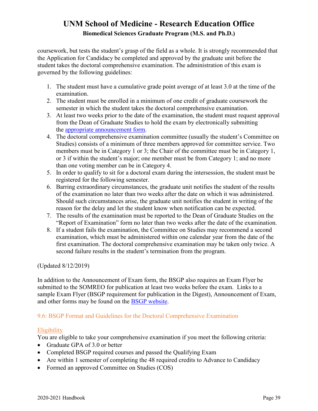coursework, but tests the student's grasp of the field as a whole. It is strongly recommended that the Application for Candidacy be completed and approved by the graduate unit before the student takes the doctoral comprehensive examination. The administration of this exam is governed by the following guidelines:

- 1. The student must have a cumulative grade point average of at least 3.0 at the time of the examination.
- 2. The student must be enrolled in a minimum of one credit of graduate coursework the semester in which the student takes the doctoral comprehensive examination.
- 3. At least two weeks prior to the date of the examination, the student must request approval from the Dean of Graduate Studies to hold the exam by electronically submitting the [appropriate announcement form.](http://gradforms.unm.edu/home)
- 4. The doctoral comprehensive examination committee (usually the student's Committee on Studies) consists of a minimum of three members approved for committee service. Two members must be in Category 1 or 3; the Chair of the committee must be in Category 1, or 3 if within the student's major; one member must be from Category 1; and no more than one voting member can be in Category 4.
- 5. In order to qualify to sit for a doctoral exam during the intersession, the student must be registered for the following semester.
- 6. Barring extraordinary circumstances, the graduate unit notifies the student of the results of the examination no later than two weeks after the date on which it was administered. Should such circumstances arise, the graduate unit notifies the student in writing of the reason for the delay and let the student know when notification can be expected.
- 7. The results of the examination must be reported to the Dean of Graduate Studies on the "Report of Examination" form no later than two weeks after the date of the examination.
- 8. If a student fails the examination, the Committee on Studies may recommend a second examination, which must be administered within one calendar year from the date of the first examination. The doctoral comprehensive examination may be taken only twice. A second failure results in the student's termination from the program.

(Updated 8/12/2019)

In addition to the Announcement of Exam form, the BSGP also requires an Exam Flyer be submitted to the SOMREO for publication at least two weeks before the exam. Links to a sample Exam Flyer (BSGP requirement for publication in the Digest), Announcement of Exam, and other forms may be found on the [BSGP website.](http://hsc.unm.edu/research/brep/graduate/bsgp/index.html)

### <span id="page-38-0"></span>9.6: BSGP Format and Guidelines for the Doctoral Comprehensive Examination

### **Eligibility**

You are eligible to take your comprehensive examination if you meet the following criteria:

- Graduate GPA of 3.0 or better
- Completed BSGP required courses and passed the Qualifying Exam
- Are within 1 semester of completing the 48 required credits to Advance to Candidacy
- Formed an approved Committee on Studies (COS)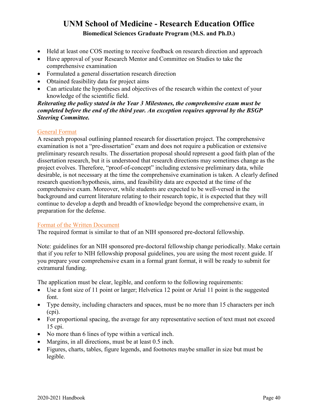- Held at least one COS meeting to receive feedback on research direction and approach
- Have approval of your Research Mentor and Committee on Studies to take the comprehensive examination
- Formulated a general dissertation research direction
- Obtained feasibility data for project aims
- Can articulate the hypotheses and objectives of the research within the context of your knowledge of the scientific field.

#### *Reiterating the policy stated in the Year 3 Milestones, the comprehensive exam must be completed before the end of the third year. An exception requires approval by the BSGP Steering Committee.*

#### General Format

A research proposal outlining planned research for dissertation project. The comprehensive examination is not a "pre-dissertation" exam and does not require a publication or extensive preliminary research results. The dissertation proposal should represent a good faith plan of the dissertation research, but it is understood that research directions may sometimes change as the project evolves. Therefore, "proof-of-concept" including extensive preliminary data, while desirable, is not necessary at the time the comprehensive examination is taken. A clearly defined research question/hypothesis, aims, and feasibility data are expected at the time of the comprehensive exam. Moreover, while students are expected to be well-versed in the background and current literature relating to their research topic, it is expected that they will continue to develop a depth and breadth of knowledge beyond the comprehensive exam, in preparation for the defense.

#### Format of the Written Document

The required format is similar to that of an NIH sponsored pre-doctoral fellowship.

Note: guidelines for an NIH sponsored pre-doctoral fellowship change periodically. Make certain that if you refer to NIH fellowship proposal guidelines, you are using the most recent guide. If you prepare your comprehensive exam in a formal grant format, it will be ready to submit for extramural funding.

The application must be clear, legible, and conform to the following requirements:

- Use a font size of 11 point or larger; Helvetica 12 point or Arial 11 point is the suggested font.
- Type density, including characters and spaces, must be no more than 15 characters per inch (cpi).
- For proportional spacing, the average for any representative section of text must not exceed 15 cpi.
- No more than 6 lines of type within a vertical inch.
- Margins, in all directions, must be at least 0.5 inch.
- Figures, charts, tables, figure legends, and footnotes maybe smaller in size but must be legible.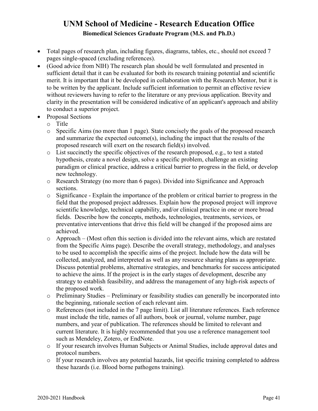- Total pages of research plan, including figures, diagrams, tables, etc., should not exceed 7 pages single-spaced (excluding references).
- (Good advice from NIH) The research plan should be well formulated and presented in sufficient detail that it can be evaluated for both its research training potential and scientific merit. It is important that it be developed in collaboration with the Research Mentor, but it is to be written by the applicant. Include sufficient information to permit an effective review without reviewers having to refer to the literature or any previous application. Brevity and clarity in the presentation will be considered indicative of an applicant's approach and ability to conduct a superior project.
- Proposal Sections
	- o Title
	- o Specific Aims (no more than 1 page). State concisely the goals of the proposed research and summarize the expected outcome(s), including the impact that the results of the proposed research will exert on the research field(s) involved.
	- $\circ$  List succinctly the specific objectives of the research proposed, e.g., to test a stated hypothesis, create a novel design, solve a specific problem, challenge an existing paradigm or clinical practice, address a critical barrier to progress in the field, or develop new technology.
	- o Research Strategy (no more than 6 pages). Divided into Significance and Approach sections.
	- o Significance Explain the importance of the problem or critical barrier to progress in the field that the proposed project addresses. Explain how the proposed project will improve scientific knowledge, technical capability, and/or clinical practice in one or more broad fields. Describe how the concepts, methods, technologies, treatments, services, or preventative interventions that drive this field will be changed if the proposed aims are achieved.
	- o Approach (Most often this section is divided into the relevant aims, which are restated from the Specific Aims page). Describe the overall strategy, methodology, and analyses to be used to accomplish the specific aims of the project. Include how the data will be collected, analyzed, and interpreted as well as any resource sharing plans as appropriate. Discuss potential problems, alternative strategies, and benchmarks for success anticipated to achieve the aims. If the project is in the early stages of development, describe any strategy to establish feasibility, and address the management of any high-risk aspects of the proposed work.
	- $\circ$  Preliminary Studies Preliminary or feasibility studies can generally be incorporated into the beginning, rationale section of each relevant aim.
	- o References (not included in the 7 page limit). List all literature references. Each reference must include the title, names of all authors, book or journal, volume number, page numbers, and year of publication. The references should be limited to relevant and current literature. It is highly recommended that you use a reference management tool such as Mendeley, Zotero, or EndNote.
	- o If your research involves Human Subjects or Animal Studies, include approval dates and protocol numbers.
	- o If your research involves any potential hazards, list specific training completed to address these hazards (i.e. Blood borne pathogens training).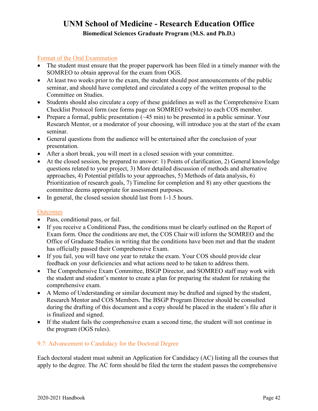#### Format of the Oral Examination

- The student must ensure that the proper paperwork has been filed in a timely manner with the SOMREO to obtain approval for the exam from OGS.
- At least two weeks prior to the exam, the student should post announcements of the public seminar, and should have completed and circulated a copy of the written proposal to the Committee on Studies.
- Students should also circulate a copy of these guidelines as well as the Comprehensive Exam Checklist Protocol form (see forms page on SOMREO website) to each COS member.
- Prepare a formal, public presentation (~45 min) to be presented in a public seminar. Your Research Mentor, or a moderator of your choosing, will introduce you at the start of the exam seminar.
- General questions from the audience will be entertained after the conclusion of your presentation.
- After a short break, you will meet in a closed session with your committee.
- At the closed session, be prepared to answer: 1) Points of clarification, 2) General knowledge questions related to your project, 3) More detailed discussion of methods and alternative approaches, 4) Potential pitfalls to your approaches, 5) Methods of data analysis, 6) Prioritization of research goals, 7) Timeline for completion and 8) any other questions the committee deems appropriate for assessment purposes.
- In general, the closed session should last from 1-1.5 hours.

#### **Outcomes**

- Pass, conditional pass, or fail.
- If you receive a Conditional Pass, the conditions must be clearly outlined on the Report of Exam form. Once the conditions are met, the COS Chair will inform the SOMREO and the Office of Graduate Studies in writing that the conditions have been met and that the student has officially passed their Comprehensive Exam.
- If you fail, you will have one year to retake the exam. Your COS should provide clear feedback on your deficiencies and what actions need to be taken to address them.
- The Comprehensive Exam Committee, BSGP Director, and SOMREO staff may work with the student and student's mentor to create a plan for preparing the student for retaking the comprehensive exam.
- A Memo of Understanding or similar document may be drafted and signed by the student, Research Mentor and COS Members. The BSGP Program Director should be consulted during the drafting of this document and a copy should be placed in the student's file after it is finalized and signed.
- If the student fails the comprehensive exam a second time, the student will not continue in the program (OGS rules).

### <span id="page-41-0"></span>9.7: Advancement to Candidacy for the Doctoral Degree

Each doctoral student must submit an Application for Candidacy (AC) listing all the courses that apply to the degree. The AC form should be filed the term the student passes the comprehensive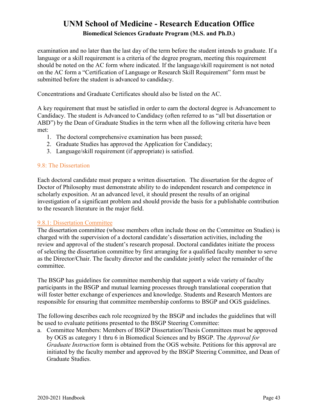examination and no later than the last day of the term before the student intends to graduate. If a language or a skill requirement is a criteria of the degree program, meeting this requirement should be noted on the AC form where indicated. If the language/skill requirement is not noted on the AC form a "Certification of Language or Research Skill Requirement" form must be submitted before the student is advanced to candidacy.

Concentrations and Graduate Certificates should also be listed on the AC.

A key requirement that must be satisfied in order to earn the doctoral degree is Advancement to Candidacy. The student is Advanced to Candidacy (often referred to as "all but dissertation or ABD") by the Dean of Graduate Studies in the term when all the following criteria have been met:

- 1. The doctoral comprehensive examination has been passed;
- 2. Graduate Studies has approved the Application for Candidacy;
- 3. Language/skill requirement (if appropriate) is satisfied.

#### <span id="page-42-0"></span>9.8: The Dissertation

Each doctoral candidate must prepare a written dissertation. The dissertation for the degree of Doctor of Philosophy must demonstrate ability to do independent research and competence in scholarly exposition. At an advanced level, it should present the results of an original investigation of a significant problem and should provide the basis for a publishable contribution to the research literature in the major field.

#### <span id="page-42-1"></span>9.8.1: Dissertation Committee

The dissertation committee (whose members often include those on the Committee on Studies) is charged with the supervision of a doctoral candidate's dissertation activities, including the review and approval of the student's research proposal. Doctoral candidates initiate the process of selecting the dissertation committee by first arranging for a qualified faculty member to serve as the Director/Chair. The faculty director and the candidate jointly select the remainder of the committee.

The BSGP has guidelines for committee membership that support a wide variety of faculty participants in the BSGP and mutual learning processes through translational cooperation that will foster better exchange of experiences and knowledge. Students and Research Mentors are responsible for ensuring that committee membership conforms to BSGP and OGS guidelines.

The following describes each role recognized by the BSGP and includes the guidelines that will be used to evaluate petitions presented to the BSGP Steering Committee:

a. Committee Members: Members of BSGP Dissertation/Thesis Committees must be approved by OGS as category 1 thru 6 in Biomedical Sciences and by BSGP. The *Approval for Graduate Instruction* form is obtained from the OGS website. Petitions for this approval are initiated by the faculty member and approved by the BSGP Steering Committee, and Dean of Graduate Studies.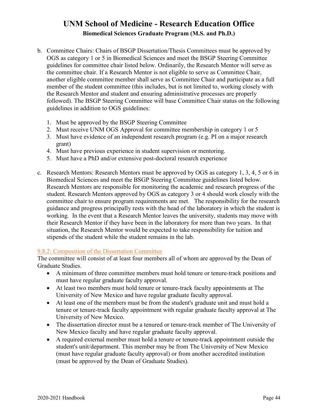- b. Committee Chairs: Chairs of BSGP Dissertation/Thesis Committees must be approved by OGS as category 1 or 5 in Biomedical Sciences and meet the BSGP Steering Committee guidelines for committee chair listed below. Ordinarily, the Research Mentor will serve as the committee chair. If a Research Mentor is not eligible to serve as Committee Chair, another eligible committee member shall serve as Committee Chair and participate as a full member of the student committee (this includes, but is not limited to, working closely with the Research Mentor and student and ensuring administrative processes are properly followed). The BSGP Steering Committee will base Committee Chair status on the following guidelines in addition to OGS guidelines:
	- 1. Must be approved by the BSGP Steering Committee
	- 2. Must receive UNM OGS Approval for committee membership in category 1 or 5
	- 3. Must have evidence of an independent research program (e.g. PI on a major research grant)
	- 4. Must have previous experience in student supervision or mentoring.
	- 5. Must have a PhD and/or extensive post-doctoral research experience
- c. Research Mentors: Research Mentors must be approved by OGS as category 1, 3, 4, 5 or 6 in Biomedical Sciences and meet the BSGP Steering Committee guidelines listed below. Research Mentors are responsible for monitoring the academic and research progress of the student. Research Mentors approved by OGS as category 3 or 4 should work closely with the committee chair to ensure program requirements are met. The responsibility for the research guidance and progress principally rests with the head of the laboratory in which the student is working. In the event that a Research Mentor leaves the university, students may move with their Research Mentor if they have been in the laboratory for more than two years. In that situation, the Research Mentor would be expected to take responsibility for tuition and stipends of the student while the student remains in the lab.

#### <span id="page-43-0"></span>9.8.2: Composition of the Dissertation Committee

The committee will consist of at least four members all of whom are approved by the Dean of Graduate Studies.

- A minimum of three committee members must hold tenure or tenure-track positions and must have regular graduate faculty approval.
- At least two members must hold tenure or tenure-track faculty appointments at The University of New Mexico and have regular graduate faculty approval.
- At least one of the members must be from the student's graduate unit and must hold a tenure or tenure-track faculty appointment with regular graduate faculty approval at The University of New Mexico.
- The dissertation director must be a tenured or tenure-track member of The University of New Mexico faculty and have regular graduate faculty approval.
- A required external member must hold a tenure or tenure-track appointment outside the student's unit/department. This member may be from The University of New Mexico (must have regular graduate faculty approval) or from another accredited institution (must be approved by the Dean of Graduate Studies).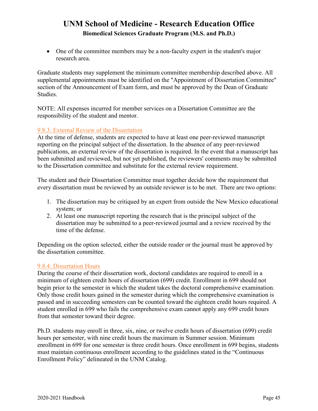• One of the committee members may be a non-faculty expert in the student's major research area.

Graduate students may supplement the minimum committee membership described above. All supplemental appointments must be identified on the "Appointment of Dissertation Committee" section of the Announcement of Exam form, and must be approved by the Dean of Graduate Studies.

NOTE: All expenses incurred for member services on a Dissertation Committee are the responsibility of the student and mentor.

### <span id="page-44-0"></span>9.8.3: External Review of the Dissertation

At the time of defense, students are expected to have at least one peer-reviewed manuscript reporting on the principal subject of the dissertation. In the absence of any peer-reviewed publications, an external review of the dissertation is required. In the event that a manuscript has been submitted and reviewed, but not yet published, the reviewers' comments may be submitted to the Dissertation committee and substitute for the external review requirement.

The student and their Dissertation Committee must together decide how the requirement that every dissertation must be reviewed by an outside reviewer is to be met. There are two options:

- 1. The dissertation may be critiqued by an expert from outside the New Mexico educational system; or
- 2. At least one manuscript reporting the research that is the principal subject of the dissertation may be submitted to a peer-reviewed journal and a review received by the time of the defense.

Depending on the option selected, either the outside reader or the journal must be approved by the dissertation committee.

### <span id="page-44-1"></span>9.8.4: Dissertation Hours

During the course of their dissertation work, doctoral candidates are required to enroll in a minimum of eighteen credit hours of dissertation (699) credit. Enrollment in 699 should not begin prior to the semester in which the student takes the doctoral comprehensive examination. Only those credit hours gained in the semester during which the comprehensive examination is passed and in succeeding semesters can be counted toward the eighteen credit hours required. A student enrolled in 699 who fails the comprehensive exam cannot apply any 699 credit hours from that semester toward their degree.

Ph.D. students may enroll in three, six, nine, or twelve credit hours of dissertation (699) credit hours per semester, with nine credit hours the maximum in Summer session. Minimum enrollment in 699 for one semester is three credit hours. Once enrollment in 699 begins, students must maintain continuous enrollment according to the guidelines stated in the "Continuous Enrollment Policy" delineated in the UNM Catalog.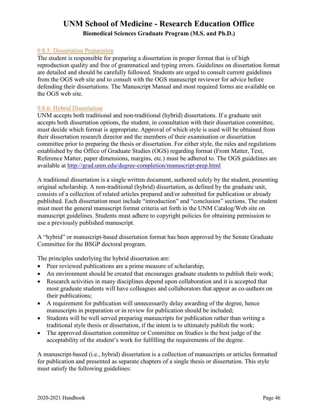#### <span id="page-45-0"></span>9.8.5: Dissertation Preparation

The student is responsible for preparing a dissertation in proper format that is of high reproduction quality and free of grammatical and typing errors. Guidelines on dissertation format are detailed and should be carefully followed. Students are urged to consult current guidelines from the OGS web site and to consult with the OGS manuscript reviewer for advice before defending their dissertations. The Manuscript Manual and most required forms are available on the OGS web site.

#### <span id="page-45-1"></span>9.8.6: Hybrid Dissertation

UNM accepts both traditional and non-traditional (hybrid) dissertations. If a graduate unit accepts both dissertation options, the student, in consultation with their dissertation committee, must decide which format is appropriate. Approval of which style is used will be obtained from their dissertation research director and the members of their examination or dissertation committee prior to preparing the thesis or dissertation. For either style, the rules and regulations established by the Office of Graduate Studies (OGS) regarding format (Front Matter, Text, Reference Matter, paper dimensions, margins, etc.) must be adhered to. The OGS guidelines are available at<http://grad.unm.edu/degree-completion/manuscript-prep.html>

A traditional dissertation is a single written document, authored solely by the student, presenting original scholarship. A non-traditional (hybrid) dissertation, as defined by the graduate unit, consists of a collection of related articles prepared and/or submitted for publication or already published. Each dissertation must include "introduction" and "conclusion" sections. The student must meet the general manuscript format criteria set forth in the UNM Catalog/Web site on manuscript guidelines. Students must adhere to copyright policies for obtaining permission to use a previously published manuscript.

A "hybrid" or manuscript-based dissertation format has been approved by the Senate Graduate Committee for the BSGP doctoral program.

The principles underlying the hybrid dissertation are:

- Peer reviewed publications are a prime measure of scholarship;
- An environment should be created that encourages graduate students to publish their work;
- Research activities in many disciplines depend upon collaboration and it is accepted that most graduate students will have colleagues and collaborators that appear as co-authors on their publications;
- A requirement for publication will unnecessarily delay awarding of the degree, hence manuscripts in preparation or in review for publication should be included;
- Students will be well served preparing manuscripts for publication rather than writing a traditional style thesis or dissertation, if the intent is to ultimately publish the work;
- The approved dissertation committee or Committee on Studies is the best judge of the acceptability of the student's work for fulfilling the requirements of the degree.

A manuscript-based (i.e., hybrid) dissertation is a collection of manuscripts or articles formatted for publication and presented as separate chapters of a single thesis or dissertation. This style must satisfy the following guidelines: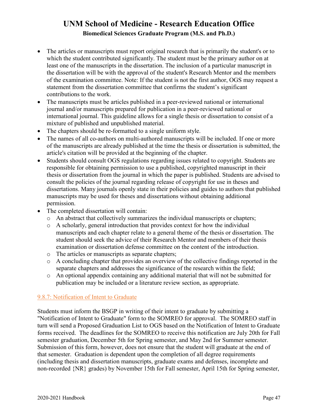- The articles or manuscripts must report original research that is primarily the student's or to which the student contributed significantly. The student must be the primary author on at least one of the manuscripts in the dissertation. The inclusion of a particular manuscript in the dissertation will be with the approval of the student's Research Mentor and the members of the examination committee. Note: If the student is not the first author, OGS may request a statement from the dissertation committee that confirms the student's significant contributions to the work.
- The manuscripts must be articles published in a peer-reviewed national or international journal and/or manuscripts prepared for publication in a peer-reviewed national or international journal. This guideline allows for a single thesis or dissertation to consist of a mixture of published and unpublished material.
- The chapters should be re-formatted to a single uniform style.
- The names of all co-authors on multi-authored manuscripts will be included. If one or more of the manuscripts are already published at the time the thesis or dissertation is submitted, the article's citation will be provided at the beginning of the chapter.
- Students should consult OGS regulations regarding issues related to copyright. Students are responsible for obtaining permission to use a published, copyrighted manuscript in their thesis or dissertation from the journal in which the paper is published. Students are advised to consult the policies of the journal regarding release of copyright for use in theses and dissertations. Many journals openly state in their policies and guides to authors that published manuscripts may be used for theses and dissertations without obtaining additional permission.
- The completed dissertation will contain:
	- o An abstract that collectively summarizes the individual manuscripts or chapters;
	- o A scholarly, general introduction that provides context for how the individual manuscripts and each chapter relate to a general theme of the thesis or dissertation. The student should seek the advice of their Research Mentor and members of their thesis examination or dissertation defense committee on the content of the introduction.
	- o The articles or manuscripts as separate chapters;
	- o A concluding chapter that provides an overview of the collective findings reported in the separate chapters and addresses the significance of the research within the field;
	- o An optional appendix containing any additional material that will not be submitted for publication may be included or a literature review section, as appropriate.

### <span id="page-46-0"></span>9.8.7: Notification of Intent to Graduate

Students must inform the BSGP in writing of their intent to graduate by submitting a "Notification of Intent to Graduate" form to the SOMREO for approval. The SOMREO staff in turn will send a Proposed Graduation List to OGS based on the Notification of Intent to Graduate forms received. The deadlines for the SOMREO to receive this notification are July 20th for Fall semester graduation, December 5th for Spring semester, and May 2nd for Summer semester. Submission of this form, however, does not ensure that the student will graduate at the end of that semester. Graduation is dependent upon the completion of all degree requirements (including thesis and dissertation manuscripts, graduate exams and defenses, incomplete and non-recorded {NR} grades) by November 15th for Fall semester, April 15th for Spring semester,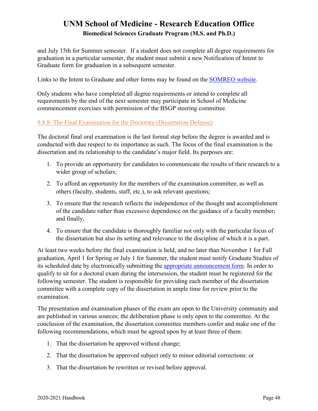and July 15th for Summer semester. If a student does not complete all degree requirements for graduation in a particular semester, the student must submit a new Notification of Intent to Graduate form for graduation in a subsequent semester.

Links to the Intent to Graduate and other forms may be found on the [SOMREO](http://hsc.unm.edu/research/brep/graduate/bsgp/index.html) website.

Only students who have completed all degree requirements or intend to complete all requirements by the end of the next semester may participate in School of Medicine commencement exercises with permission of the BSGP steering committee.

#### <span id="page-47-0"></span>9.8.8: The Final Examination for the Doctorate (Dissertation Defense)

The doctoral final oral examination is the last formal step before the degree is awarded and is conducted with due respect to its importance as such. The focus of the final examination is the dissertation and its relationship to the candidate's major field. Its purposes are:

- 1. To provide an opportunity for candidates to communicate the results of their research to a wider group of scholars;
- 2. To afford an opportunity for the members of the examination committee, as well as others (faculty, students, staff, etc.), to ask relevant questions;
- 3. To ensure that the research reflects the independence of the thought and accomplishment of the candidate rather than excessive dependence on the guidance of a faculty member; and finally,
- 4. To ensure that the candidate is thoroughly familiar not only with the particular focus of the dissertation but also its setting and relevance to the discipline of which it is a part.

At least two weeks before the final examination is held, and no later than November 1 for Fall graduation, April 1 for Spring or July 1 for Summer, the student must notify Graduate Studies of its scheduled date by electronically submitting the [appropriate announcement form.](http://gradforms.unm.edu/home) In order to qualify to sit for a doctoral exam during the intersession, the student must be registered for the following semester. The student is responsible for providing each member of the dissertation committee with a complete copy of the dissertation in ample time for review prior to the examination.

The presentation and examination phases of the exam are open to the University community and are published in various sources; the deliberation phase is only open to the committee. At the conclusion of the examination, the dissertation committee members confer and make one of the following recommendations, which must be agreed upon by at least three of them:

- 1. That the dissertation be approved without change;
- 2. That the dissertation be approved subject only to minor editorial corrections: or
- 3. That the dissertation be rewritten or revised before approval.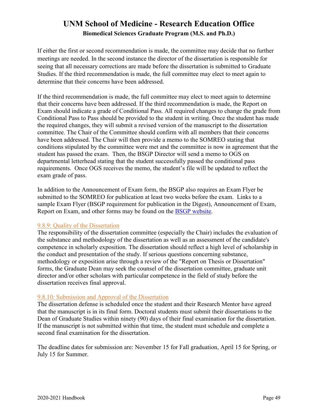If either the first or second recommendation is made, the committee may decide that no further meetings are needed. In the second instance the director of the dissertation is responsible for seeing that all necessary corrections are made before the dissertation is submitted to Graduate Studies. If the third recommendation is made, the full committee may elect to meet again to determine that their concerns have been addressed.

If the third recommendation is made, the full committee may elect to meet again to determine that their concerns have been addressed. If the third recommendation is made, the Report on Exam should indicate a grade of Conditional Pass. All required changes to change the grade from Conditional Pass to Pass should be provided to the student in writing. Once the student has made the required changes, they will submit a revised version of the manuscript to the dissertation committee. The Chair of the Committee should confirm with all members that their concerns have been addressed. The Chair will then provide a memo to the SOMREO stating that conditions stipulated by the committee were met and the committee is now in agreement that the student has passed the exam. Then, the BSGP Director will send a memo to OGS on departmental letterhead stating that the student successfully passed the conditional pass requirements. Once OGS receives the memo, the student's file will be updated to reflect the exam grade of pass.

In addition to the Announcement of Exam form, the BSGP also requires an Exam Flyer be submitted to the SOMREO for publication at least two weeks before the exam. Links to a sample Exam Flyer (BSGP requirement for publication in the Digest), Announcement of Exam, Report on Exam, and other forms may be found on the [BSGP website.](http://hsc.unm.edu/research/brep/graduate/bsgp/index.html)

#### <span id="page-48-0"></span>9.8.9: Quality of the Dissertation

The responsibility of the dissertation committee (especially the Chair) includes the evaluation of the substance and methodology of the dissertation as well as an assessment of the candidate's competence in scholarly exposition. The dissertation should reflect a high level of scholarship in the conduct and presentation of the study. If serious questions concerning substance, methodology or exposition arise through a review of the "Report on Thesis or Dissertation" forms, the Graduate Dean may seek the counsel of the dissertation committee, graduate unit director and/or other scholars with particular competence in the field of study before the dissertation receives final approval.

### <span id="page-48-1"></span>9.8.10: Submission and Approval of the Dissertation

The dissertation defense is scheduled once the student and their Research Mentor have agreed that the manuscript is in its final form. Doctoral students must submit their dissertations to the Dean of Graduate Studies within ninety (90) days of their final examination for the dissertation. If the manuscript is not submitted within that time, the student must schedule and complete a second final examination for the dissertation.

The deadline dates for submission are: November 15 for Fall graduation, April 15 for Spring, or July 15 for Summer.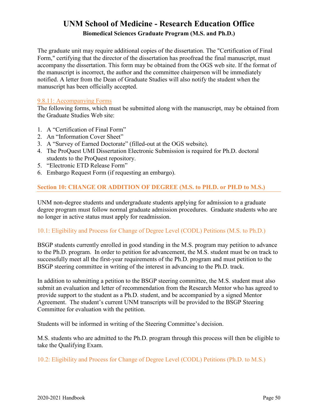The graduate unit may require additional copies of the dissertation. The "Certification of Final Form," certifying that the director of the dissertation has proofread the final manuscript, must accompany the dissertation. This form may be obtained from the OGS web site. If the format of the manuscript is incorrect, the author and the committee chairperson will be immediately notified. A letter from the Dean of Graduate Studies will also notify the student when the manuscript has been officially accepted.

### <span id="page-49-0"></span>9.8.11: Accompanying Forms

The following forms, which must be submitted along with the manuscript, may be obtained from the Graduate Studies Web site:

- 1. A "Certification of Final Form"
- 2. An "Information Cover Sheet"
- 3. A "Survey of Earned Doctorate" (filled-out at the OGS website).
- 4. The ProQuest UMI Dissertation Electronic Submission is required for Ph.D. doctoral students to the ProQuest repository.
- 5. "Electronic ETD Release Form"
- 6. Embargo Request Form (if requesting an embargo).

### <span id="page-49-1"></span>**Section 10: CHANGE OR ADDITION OF DEGREE (M.S. to PH.D. or PH.D to M.S.)**

UNM non-degree students and undergraduate students applying for admission to a graduate degree program must follow normal graduate admission procedures. Graduate students who are no longer in active status must apply for readmission.

#### <span id="page-49-2"></span>10.1: Eligibility and Process for Change of Degree Level (CODL) Petitions (M.S. to Ph.D.)

BSGP students currently enrolled in good standing in the M.S. program may petition to advance to the Ph.D. program. In order to petition for advancement, the M.S. student must be on track to successfully meet all the first-year requirements of the Ph.D. program and must petition to the BSGP steering committee in writing of the interest in advancing to the Ph.D. track.

In addition to submitting a petition to the BSGP steering committee, the M.S. student must also submit an evaluation and letter of recommendation from the Research Mentor who has agreed to provide support to the student as a Ph.D. student, and be accompanied by a signed Mentor Agreement. The student's current UNM transcripts will be provided to the BSGP Steering Committee for evaluation with the petition.

Students will be informed in writing of the Steering Committee's decision.

M.S. students who are admitted to the Ph.D. program through this process will then be eligible to take the Qualifying Exam.

<span id="page-49-3"></span>10.2: Eligibility and Process for Change of Degree Level (CODL) Petitions (Ph.D. to M.S.)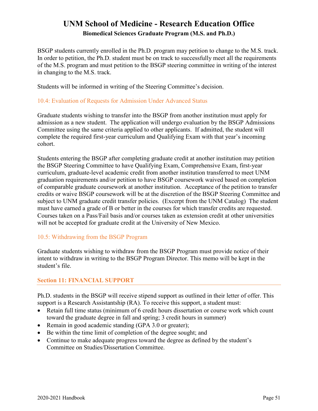BSGP students currently enrolled in the Ph.D. program may petition to change to the M.S. track. In order to petition, the Ph.D. student must be on track to successfully meet all the requirements of the M.S. program and must petition to the BSGP steering committee in writing of the interest in changing to the M.S. track.

Students will be informed in writing of the Steering Committee's decision.

### <span id="page-50-0"></span>10.4: Evaluation of Requests for Admission Under Advanced Status

Graduate students wishing to transfer into the BSGP from another institution must apply for admission as a new student. The application will undergo evaluation by the BSGP Admissions Committee using the same criteria applied to other applicants. If admitted, the student will complete the required first-year curriculum and Qualifying Exam with that year's incoming cohort.

Students entering the BSGP after completing graduate credit at another institution may petition the BSGP Steering Committee to have Qualifying Exam, Comprehensive Exam, first-year curriculum, graduate-level academic credit from another institution transferred to meet UNM graduation requirements and/or petition to have BSGP coursework waived based on completion of comparable graduate coursework at another institution. Acceptance of the petition to transfer credits or waive BSGP coursework will be at the discretion of the BSGP Steering Committee and subject to UNM graduate credit transfer policies. (Excerpt from the UNM Catalog) The student must have earned a grade of B or better in the courses for which transfer credits are requested. Courses taken on a Pass/Fail basis and/or courses taken as extension credit at other universities will not be accepted for graduate credit at the University of New Mexico.

### <span id="page-50-1"></span>10.5: Withdrawing from the BSGP Program

Graduate students wishing to withdraw from the BSGP Program must provide notice of their intent to withdraw in writing to the BSGP Program Director. This memo will be kept in the student's file.

### <span id="page-50-2"></span>**Section 11: FINANCIAL SUPPORT**

Ph.D. students in the BSGP will receive stipend support as outlined in their letter of offer. This support is a Research Assistantship (RA). To receive this support, a student must:

- Retain full time status (minimum of 6 credit hours dissertation or course work which count toward the graduate degree in fall and spring; 3 credit hours in summer)
- Remain in good academic standing (GPA 3.0 or greater);
- Be within the time limit of completion of the degree sought; and
- Continue to make adequate progress toward the degree as defined by the student's Committee on Studies/Dissertation Committee.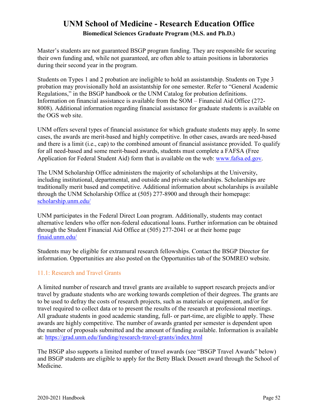Master's students are not guaranteed BSGP program funding. They are responsible for securing their own funding and, while not guaranteed, are often able to attain positions in laboratories during their second year in the program.

Students on Types 1 and 2 probation are ineligible to hold an assistantship. Students on Type 3 probation may provisionally hold an assistantship for one semester. Refer to "General Academic Regulations," in the BSGP handbook or the UNM Catalog for probation definitions. Information on financial assistance is available from the SOM – Financial Aid Office (272- 8008). Additional information regarding financial assistance for graduate students is available on the OGS web site.

UNM offers several types of financial assistance for which graduate students may apply. In some cases, the awards are merit-based and highly competitive. In other cases, awards are need-based and there is a limit (i.e., cap) to the combined amount of financial assistance provided. To qualify for all need-based and some merit-based awards, students must complete a FAFSA (Free Application for Federal Student Aid) form that is available on the web: [www.fafsa.ed.gov.](http://www.fafsa.ed.gov/)

The UNM Scholarship Office administers the majority of scholarships at the University, including institutional, departmental, and outside and private scholarships. Scholarships are traditionally merit based and competitive. Additional information about scholarships is available through the UNM Scholarship Office at (505) 277-8900 and through their homepage: [scholarship.unm.edu/](http://scholarship.unm.edu/)

UNM participates in the Federal Direct Loan program. Additionally, students may contact alternative lenders who offer non-federal educational loans. Further information can be obtained through the Student Financial Aid Office at (505) 277-2041 or at their home page [finaid.unm.edu/](http://finaid.unm.edu/)

Students may be eligible for extramural research fellowships. Contact the BSGP Director for information. Opportunities are also posted on the Opportunities tab of the SOMREO website.

### <span id="page-51-0"></span>11.1: Research and Travel Grants

A limited number of research and travel grants are available to support research projects and/or travel by graduate students who are working towards completion of their degrees. The grants are to be used to defray the costs of research projects, such as materials or equipment, and/or for travel required to collect data or to present the results of the research at professional meetings. All graduate students in good academic standing, full- or part-time, are eligible to apply. These awards are highly competitive. The number of awards granted per semester is dependent upon the number of proposals submitted and the amount of funding available. Information is available at:<https://grad.unm.edu/funding/research-travel-grants/index.html>

The BSGP also supports a limited number of travel awards (see "BSGP Travel Awards" below) and BSGP students are eligible to apply for the Betty Black Dossett award through the School of Medicine.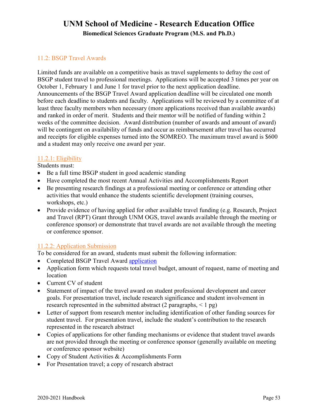### <span id="page-52-0"></span>11.2: BSGP Travel Awards

Limited funds are available on a competitive basis as travel supplements to defray the cost of BSGP student travel to professional meetings. Applications will be accepted 3 times per year on October 1, February 1 and June 1 for travel prior to the next application deadline. Announcements of the BSGP Travel Award application deadline will be circulated one month before each deadline to students and faculty. Applications will be reviewed by a committee of at least three faculty members when necessary (more applications received than available awards) and ranked in order of merit. Students and their mentor will be notified of funding within 2 weeks of the committee decision. Award distribution (number of awards and amount of award) will be contingent on availability of funds and occur as reimbursement after travel has occurred and receipts for eligible expenses turned into the SOMREO. The maximum travel award is \$600 and a student may only receive one award per year.

### <span id="page-52-1"></span>11.2.1: Eligibility

Students must:

- Be a full time BSGP student in good academic standing
- Have completed the most recent Annual Activities and Accomplishments Report
- Be presenting research findings at a professional meeting or conference or attending other activities that would enhance the students scientific development (training courses, workshops, etc.)
- Provide evidence of having applied for other available travel funding (e.g. Research, Project and Travel (RPT) Grant through UNM OGS, travel awards available through the meeting or conference sponsor) or demonstrate that travel awards are not available through the meeting or conference sponsor.

### <span id="page-52-2"></span>11.2.2: Application Submission

To be considered for an award, students must submit the following information:

- Completed BSGP Travel Award [application](https://hsc.unm.edu/research/brep/common/docs/bsgp/bsgp-travel-award-application.pdf)
- Application form which requests total travel budget, amount of request, name of meeting and location
- Current CV of student
- Statement of impact of the travel award on student professional development and career goals. For presentation travel, include research significance and student involvement in research represented in the submitted abstract  $(2 \text{ paragraphs}, \leq 1 \text{ pg})$
- Letter of support from research mentor including identification of other funding sources for student travel. For presentation travel, include the student's contribution to the research represented in the research abstract
- Copies of applications for other funding mechanisms or evidence that student travel awards are not provided through the meeting or conference sponsor (generally available on meeting or conference sponsor website)
- Copy of Student Activities & Accomplishments Form
- For Presentation travel; a copy of research abstract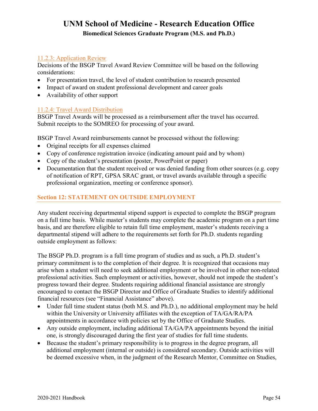### <span id="page-53-0"></span>11.2.3: Application Review

Decisions of the BSGP Travel Award Review Committee will be based on the following considerations:

- For presentation travel, the level of student contribution to research presented
- Impact of award on student professional development and career goals
- Availability of other support

### <span id="page-53-1"></span>11.2.4: Travel Award Distribution

BSGP Travel Awards will be processed as a reimbursement after the travel has occurred. Submit receipts to the SOMREO for processing of your award.

BSGP Travel Award reimbursements cannot be processed without the following:

- Original receipts for all expenses claimed
- Copy of conference registration invoice (indicating amount paid and by whom)
- Copy of the student's presentation (poster, PowerPoint or paper)
- Documentation that the student received or was denied funding from other sources (e.g. copy of notification of RPT, GPSA SRAC grant, or travel awards available through a specific professional organization, meeting or conference sponsor).

### <span id="page-53-2"></span>**Section 12: STATEMENT ON OUTSIDE EMPLOYMENT**

Any student receiving departmental stipend support is expected to complete the BSGP program on a full time basis. While master's students may complete the academic program on a part time basis, and are therefore eligible to retain full time employment, master's students receiving a departmental stipend will adhere to the requirements set forth for Ph.D. students regarding outside employment as follows:

The BSGP Ph.D. program is a full time program of studies and as such, a Ph.D. student's primary commitment is to the completion of their degree. It is recognized that occasions may arise when a student will need to seek additional employment or be involved in other non-related professional activities. Such employment or activities, however, should not impede the student's progress toward their degree. Students requiring additional financial assistance are strongly encouraged to contact the BSGP Director and Office of Graduate Studies to identify additional financial resources (see "Financial Assistance" above).

- Under full time student status (both M.S. and Ph.D.), no additional employment may be held within the University or University affiliates with the exception of TA/GA/RA/PA appointments in accordance with policies set by the Office of Graduate Studies.
- Any outside employment, including additional TA/GA/PA appointments beyond the initial one, is strongly discouraged during the first year of studies for full time students.
- Because the student's primary responsibility is to progress in the degree program, all additional employment (internal or outside) is considered secondary. Outside activities will be deemed excessive when, in the judgment of the Research Mentor, Committee on Studies,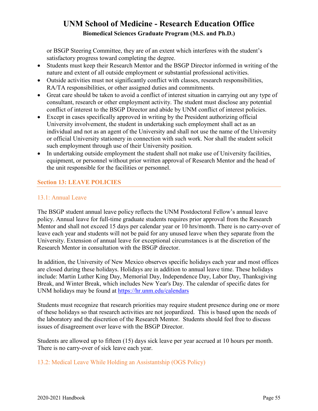or BSGP Steering Committee, they are of an extent which interferes with the student's satisfactory progress toward completing the degree.

- Students must keep their Research Mentor and the BSGP Director informed in writing of the nature and extent of all outside employment or substantial professional activities.
- Outside activities must not significantly conflict with classes, research responsibilities, RA/TA responsibilities, or other assigned duties and commitments.
- Great care should be taken to avoid a conflict of interest situation in carrying out any type of consultant, research or other employment activity. The student must disclose any potential conflict of interest to the BSGP Director and abide by UNM conflict of interest policies.
- Except in cases specifically approved in writing by the President authorizing official University involvement, the student in undertaking such employment shall act as an individual and not as an agent of the University and shall not use the name of the University or official University stationery in connection with such work. Nor shall the student solicit such employment through use of their University position.
- In undertaking outside employment the student shall not make use of University facilities, equipment, or personnel without prior written approval of Research Mentor and the head of the unit responsible for the facilities or personnel.

### <span id="page-54-0"></span>**Section 13: LEAVE POLICIES**

### <span id="page-54-1"></span>13.1: Annual Leave

The BSGP student annual leave policy reflects the UNM Postdoctoral Fellow's annual leave policy. Annual leave for full-time graduate students requires prior approval from the Research Mentor and shall not exceed 15 days per calendar year or 10 hrs/month. There is no carry-over of leave each year and students will not be paid for any unused leave when they separate from the University. Extension of annual leave for exceptional circumstances is at the discretion of the Research Mentor in consultation with the BSGP director.

In addition, the University of New Mexico observes specific holidays each year and most offices are closed during these holidays. Holidays are in addition to annual leave time. These holidays include: Martin Luther King Day, Memorial Day, Independence Day, Labor Day, Thanksgiving Break, and Winter Break, which includes New Year's Day. The calendar of specific dates for UNM holidays may be found at<https://hr.unm.edu/calendars>

Students must recognize that research priorities may require student presence during one or more of these holidays so that research activities are not jeopardized. This is based upon the needs of the laboratory and the discretion of the Research Mentor. Students should feel free to discuss issues of disagreement over leave with the BSGP Director.

Students are allowed up to fifteen (15) days sick leave per year accrued at 10 hours per month. There is no carry-over of sick leave each year.

<span id="page-54-2"></span>13.2: Medical Leave While Holding an Assistantship (OGS Policy)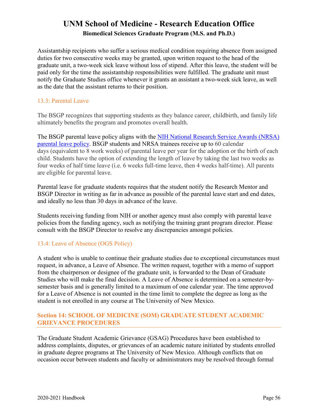Assistantship recipients who suffer a serious medical condition requiring absence from assigned duties for two consecutive weeks may be granted, upon written request to the head of the graduate unit, a two-week sick leave without loss of stipend. After this leave, the student will be paid only for the time the assistantship responsibilities were fulfilled. The graduate unit must notify the Graduate Studies office whenever it grants an assistant a two-week sick leave, as well as the date that the assistant returns to their position.

### <span id="page-55-0"></span>13.3: Parental Leave

The BSGP recognizes that supporting students as they balance career, childbirth, and family life ultimately benefits the program and promotes overall health.

The BSGP parental leave policy aligns with the NIH National Research Service Awards (NRSA) [parental leave policy.](https://grants.nih.gov/grants/policy/nih-family-friendly-initiative.htm#:%7E:text=National%20Research%20Service%20Awards%20(NRSA,the%20birth%20of%20a%20child.) BSGP students and NRSA trainees receive up to 60 calendar days (equivalent to 8 work weeks) of parental leave per year for the adoption or the birth of each child. Students have the option of extending the length of leave by taking the last two weeks as four weeks of half time leave (i.e. 6 weeks full-time leave, then 4 weeks half-time). All parents are eligible for parental leave.

Parental leave for graduate students requires that the student notify the Research Mentor and BSGP Director in writing as far in advance as possible of the parental leave start and end dates, and ideally no less than 30 days in advance of the leave.

Students receiving funding from NIH or another agency must also comply with parental leave policies from the funding agency, such as notifying the training grant program director. Please consult with the BSGP Director to resolve any discrepancies amongst policies.

### <span id="page-55-1"></span>13.4: Leave of Absence (OGS Policy)

A student who is unable to continue their graduate studies due to exceptional circumstances must request, in advance, a Leave of Absence. The written request, together with a memo of support from the chairperson or designee of the graduate unit, is forwarded to the Dean of Graduate Studies who will make the final decision. A Leave of Absence is determined on a semester-bysemester basis and is generally limited to a maximum of one calendar year. The time approved for a Leave of Absence is not counted in the time limit to complete the degree as long as the student is not enrolled in any course at The University of New Mexico.

### <span id="page-55-2"></span>**Section 14: SCHOOL OF MEDICINE (SOM) GRADUATE STUDENT ACADEMIC GRIEVANCE PROCEDURES**

The Graduate Student Academic Grievance (GSAG) Procedures have been established to address complaints, disputes, or grievances of an academic nature initiated by students enrolled in graduate degree programs at The University of New Mexico. Although conflicts that on occasion occur between students and faculty or administrators may be resolved through formal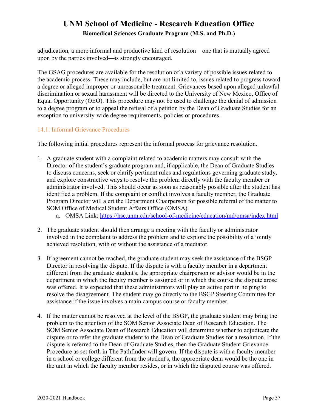adjudication, a more informal and productive kind of resolution—one that is mutually agreed upon by the parties involved—is strongly encouraged.

The GSAG procedures are available for the resolution of a variety of possible issues related to the academic process. These may include, but are not limited to, issues related to progress toward a degree or alleged improper or unreasonable treatment. Grievances based upon alleged unlawful discrimination or sexual harassment will be directed to the University of New Mexico, Office of Equal Opportunity (OEO). This procedure may not be used to challenge the denial of admission to a degree program or to appeal the refusal of a petition by the Dean of Graduate Studies for an exception to university-wide degree requirements, policies or procedures.

### <span id="page-56-0"></span>14.1: Informal Grievance Procedures

The following initial procedures represent the informal process for grievance resolution.

- 1. A graduate student with a complaint related to academic matters may consult with the Director of the student's graduate program and, if applicable, the Dean of Graduate Studies to discuss concerns, seek or clarify pertinent rules and regulations governing graduate study, and explore constructive ways to resolve the problem directly with the faculty member or administrator involved. This should occur as soon as reasonably possible after the student has identified a problem. If the complaint or conflict involves a faculty member, the Graduate Program Director will alert the Department Chairperson for possible referral of the matter to SOM Office of Medical Student Affairs Office (OMSA).
	- a. OMSA Link:<https://hsc.unm.edu/school-of-medicine/education/md/omsa/index.html>
- 2. The graduate student should then arrange a meeting with the faculty or administrator involved in the complaint to address the problem and to explore the possibility of a jointly achieved resolution, with or without the assistance of a mediator.
- 3. If agreement cannot be reached, the graduate student may seek the assistance of the BSGP Director in resolving the dispute. If the dispute is with a faculty member in a department different from the graduate student's, the appropriate chairperson or advisor would be in the department in which the faculty member is assigned or in which the course the dispute arose was offered. It is expected that these administrators will play an active part in helping to resolve the disagreement. The student may go directly to the BSGP Steering Committee for assistance if the issue involves a main campus course or faculty member.
- 4. If the matter cannot be resolved at the level of the BSGP, the graduate student may bring the problem to the attention of the SOM Senior Associate Dean of Research Education. The SOM Senior Associate Dean of Research Education will determine whether to adjudicate the dispute or to refer the graduate student to the Dean of Graduate Studies for a resolution. If the dispute is referred to the Dean of Graduate Studies, then the Graduate Student Grievance Procedure as set forth in The Pathfinder will govern. If the dispute is with a faculty member in a school or college different from the student's, the appropriate dean would be the one in the unit in which the faculty member resides, or in which the disputed course was offered.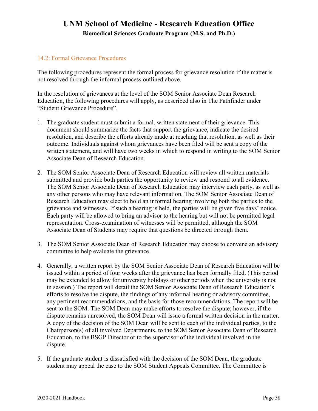#### <span id="page-57-0"></span>14.2: Formal Grievance Procedures

The following procedures represent the formal process for grievance resolution if the matter is not resolved through the informal process outlined above.

In the resolution of grievances at the level of the SOM Senior Associate Dean Research Education, the following procedures will apply, as described also in The Pathfinder under "Student Grievance Procedure".

- 1. The graduate student must submit a formal, written statement of their grievance. This document should summarize the facts that support the grievance, indicate the desired resolution, and describe the efforts already made at reaching that resolution, as well as their outcome. Individuals against whom grievances have been filed will be sent a copy of the written statement, and will have two weeks in which to respond in writing to the SOM Senior Associate Dean of Research Education.
- 2. The SOM Senior Associate Dean of Research Education will review all written materials submitted and provide both parties the opportunity to review and respond to all evidence. The SOM Senior Associate Dean of Research Education may interview each party, as well as any other persons who may have relevant information. The SOM Senior Associate Dean of Research Education may elect to hold an informal hearing involving both the parties to the grievance and witnesses. If such a hearing is held, the parties will be given five days' notice. Each party will be allowed to bring an advisor to the hearing but will not be permitted legal representation. Cross-examination of witnesses will be permitted, although the SOM Associate Dean of Students may require that questions be directed through them.
- 3. The SOM Senior Associate Dean of Research Education may choose to convene an advisory committee to help evaluate the grievance.
- 4. Generally, a written report by the SOM Senior Associate Dean of Research Education will be issued within a period of four weeks after the grievance has been formally filed. (This period may be extended to allow for university holidays or other periods when the university is not in session.) The report will detail the SOM Senior Associate Dean of Research Education's efforts to resolve the dispute, the findings of any informal hearing or advisory committee, any pertinent recommendations, and the basis for those recommendations. The report will be sent to the SOM. The SOM Dean may make efforts to resolve the dispute; however, if the dispute remains unresolved, the SOM Dean will issue a formal written decision in the matter. A copy of the decision of the SOM Dean will be sent to each of the individual parties, to the Chairperson(s) of all involved Departments, to the SOM Senior Associate Dean of Research Education, to the BSGP Director or to the supervisor of the individual involved in the dispute.
- 5. If the graduate student is dissatisfied with the decision of the SOM Dean, the graduate student may appeal the case to the SOM Student Appeals Committee. The Committee is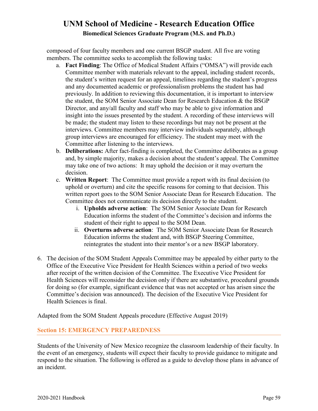composed of four faculty members and one current BSGP student. All five are voting members. The committee seeks to accomplish the following tasks:

- a. **Fact Finding**: The Office of Medical Student Affairs ("OMSA") will provide each Committee member with materials relevant to the appeal, including student records, the student's written request for an appeal, timelines regarding the student's progress and any documented academic or professionalism problems the student has had previously. In addition to reviewing this documentation, it is important to interview the student, the SOM Senior Associate Dean for Research Education & the BSGP Director, and any/all faculty and staff who may be able to give information and insight into the issues presented by the student. A recording of these interviews will be made; the student may listen to these recordings but may not be present at the interviews. Committee members may interview individuals separately, although group interviews are encouraged for efficiency. The student may meet with the Committee after listening to the interviews.
- b. **Deliberations:** After fact-finding is completed, the Committee deliberates as a group and, by simple majority, makes a decision about the student's appeal. The Committee may take one of two actions: It may uphold the decision or it may overturn the decision.
- c. **Written Report**: The Committee must provide a report with its final decision (to uphold or overturn) and cite the specific reasons for coming to that decision. This written report goes to the SOM Senior Associate Dean for Research Education. The Committee does not communicate its decision directly to the student.
	- i. **Upholds adverse action**: The SOM Senior Associate Dean for Research Education informs the student of the Committee's decision and informs the student of their right to appeal to the SOM Dean.
	- ii. **Overturns adverse action**: The SOM Senior Associate Dean for Research Education informs the student and, with BSGP Steering Committee, reintegrates the student into their mentor's or a new BSGP laboratory.
- 6. The decision of the SOM Student Appeals Committee may be appealed by either party to the Office of the Executive Vice President for Health Sciences within a period of two weeks after receipt of the written decision of the Committee. The Executive Vice President for Health Sciences will reconsider the decision only if there are substantive, procedural grounds for doing so (for example, significant evidence that was not accepted or has arisen since the Committee's decision was announced). The decision of the Executive Vice President for Health Sciences is final.

Adapted from the SOM Student Appeals procedure (Effective August 2019)

### <span id="page-58-0"></span>**Section 15: EMERGENCY PREPAREDNESS**

Students of the University of New Mexico recognize the classroom leadership of their faculty. In the event of an emergency, students will expect their faculty to provide guidance to mitigate and respond to the situation. The following is offered as a guide to develop those plans in advance of an incident.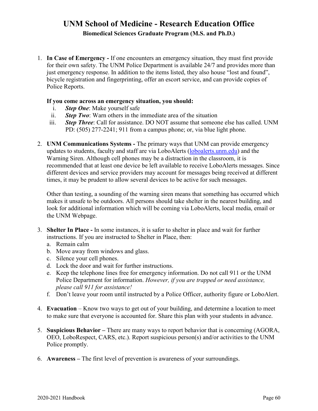1. **In Case of Emergency -** If one encounters an emergency situation, they must first provide for their own safety. The UNM Police Department is available 24/7 and provides more than just emergency response. In addition to the items listed, they also house "lost and found", bicycle registration and fingerprinting, offer an escort service, and can provide copies of Police Reports.

#### **If you come across an emergency situation, you should:**

- i. *Step One*: Make yourself safe
- ii. *Step Two*: Warn others in the immediate area of the situation
- iii. *Step Three*: Call for assistance. DO NOT assume that someone else has called. UNM PD: (505) 277-2241; 911 from a campus phone; or, via blue light phone.
- 2. **UNM Communications Systems -** The primary ways that UNM can provide emergency updates to students, faculty and staff are via LoboAlerts [\(loboalerts.unm.edu\)](http://loboalerts.unm.edu/) and the Warning Siren. Although cell phones may be a distraction in the classroom, it is recommended that at least one device be left available to receive LoboAlerts messages. Since different devices and service providers may account for messages being received at different times, it may be prudent to allow several devices to be active for such messages.

Other than testing, a sounding of the warning siren means that something has occurred which makes it unsafe to be outdoors. All persons should take shelter in the nearest building, and look for additional information which will be coming via LoboAlerts, local media, email or the UNM Webpage.

- 3. **Shelter In Place -** In some instances, it is safer to shelter in place and wait for further instructions. If you are instructed to Shelter in Place, then:
	- a. Remain calm
	- b. Move away from windows and glass.
	- c. Silence your cell phones.
	- d. Lock the door and wait for further instructions.
	- e. Keep the telephone lines free for emergency information. Do not call 911 or the UNM Police Department for information. *However, if you are trapped or need assistance, please call 911 for assistance!*
	- f. Don't leave your room until instructed by a Police Officer, authority figure or LoboAlert.
- 4. **Evacuation**  Know two ways to get out of your building, and determine a location to meet to make sure that everyone is accounted for. Share this plan with your students in advance.
- 5. **Suspicious Behavior –** There are many ways to report behavior that is concerning (AGORA, OEO, LoboRespect, CARS, etc.). Report suspicious person(s) and/or activities to the UNM Police promptly.
- 6. **Awareness –** The first level of prevention is awareness of your surroundings.